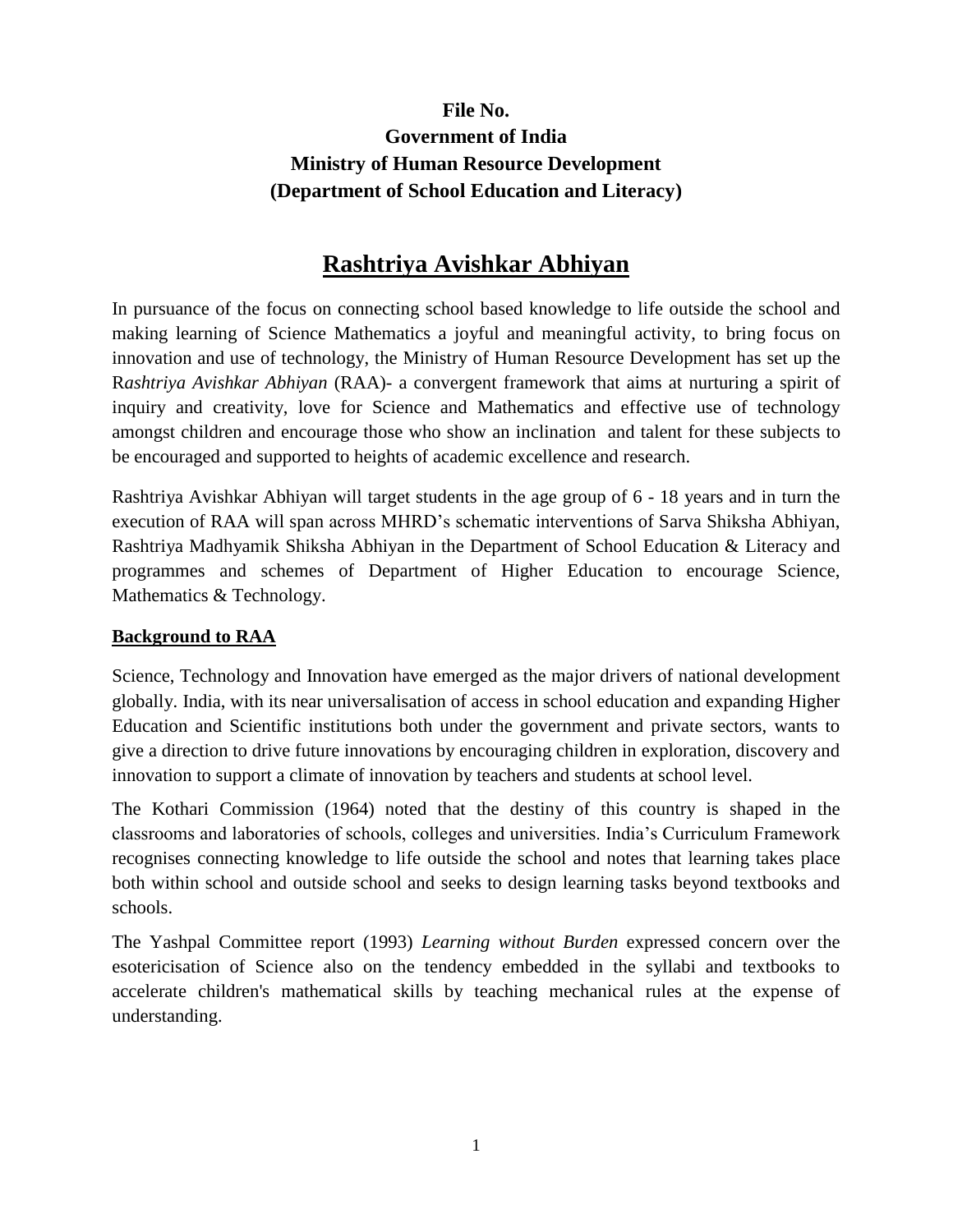# **File No. Government of India Ministry of Human Resource Development (Department of School Education and Literacy)**

# **Rashtriya Avishkar Abhiyan**

In pursuance of the focus on connecting school based knowledge to life outside the school and making learning of Science Mathematics a joyful and meaningful activity, to bring focus on innovation and use of technology, the Ministry of Human Resource Development has set up the R*ashtriya Avishkar Abhiyan* (RAA)- a convergent framework that aims at nurturing a spirit of inquiry and creativity, love for Science and Mathematics and effective use of technology amongst children and encourage those who show an inclination and talent for these subjects to be encouraged and supported to heights of academic excellence and research.

Rashtriya Avishkar Abhiyan will target students in the age group of 6 - 18 years and in turn the execution of RAA will span across MHRD's schematic interventions of Sarva Shiksha Abhiyan, Rashtriya Madhyamik Shiksha Abhiyan in the Department of School Education & Literacy and programmes and schemes of Department of Higher Education to encourage Science, Mathematics & Technology.

### **Background to RAA**

Science, Technology and Innovation have emerged as the major drivers of national development globally. India, with its near universalisation of access in school education and expanding Higher Education and Scientific institutions both under the government and private sectors, wants to give a direction to drive future innovations by encouraging children in exploration, discovery and innovation to support a climate of innovation by teachers and students at school level.

The Kothari Commission (1964) noted that the destiny of this country is shaped in the classrooms and laboratories of schools, colleges and universities. India's Curriculum Framework recognises connecting knowledge to life outside the school and notes that learning takes place both within school and outside school and seeks to design learning tasks beyond textbooks and schools.

The Yashpal Committee report (1993) *Learning without Burden* expressed concern over the esotericisation of Science also on the tendency embedded in the syllabi and textbooks to accelerate children's mathematical skills by teaching mechanical rules at the expense of understanding.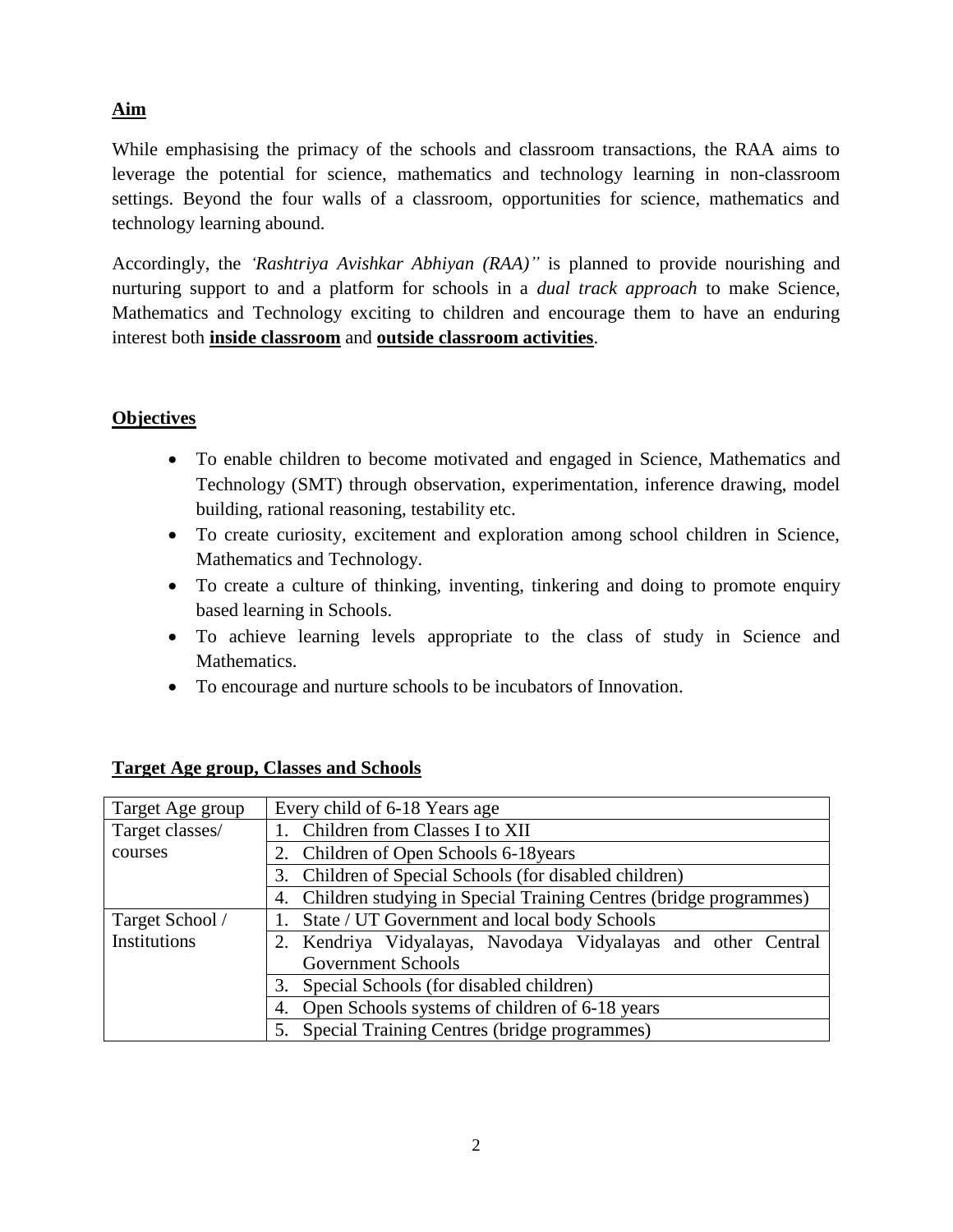# **Aim**

While emphasising the primacy of the schools and classroom transactions, the RAA aims to leverage the potential for science, mathematics and technology learning in non-classroom settings. Beyond the four walls of a classroom, opportunities for science, mathematics and technology learning abound.

Accordingly, the *'Rashtriya Avishkar Abhiyan (RAA)"* is planned to provide nourishing and nurturing support to and a platform for schools in a *dual track approach* to make Science, Mathematics and Technology exciting to children and encourage them to have an enduring interest both **inside classroom** and **outside classroom activities**.

# **Objectives**

- To enable children to become motivated and engaged in Science, Mathematics and Technology (SMT) through observation, experimentation, inference drawing, model building, rational reasoning, testability etc.
- To create curiosity, excitement and exploration among school children in Science, Mathematics and Technology.
- To create a culture of thinking, inventing, tinkering and doing to promote enquiry based learning in Schools.
- To achieve learning levels appropriate to the class of study in Science and Mathematics.
- To encourage and nurture schools to be incubators of Innovation.

| Target Age group | Every child of 6-18 Years age                                        |  |  |  |  |  |
|------------------|----------------------------------------------------------------------|--|--|--|--|--|
| Target classes/  | Children from Classes I to XII                                       |  |  |  |  |  |
| courses          | Children of Open Schools 6-18 years                                  |  |  |  |  |  |
|                  | Children of Special Schools (for disabled children)<br>3.            |  |  |  |  |  |
|                  | 4. Children studying in Special Training Centres (bridge programmes) |  |  |  |  |  |
| Target School /  | State / UT Government and local body Schools                         |  |  |  |  |  |
| Institutions     | Kendriya Vidyalayas, Navodaya Vidyalayas and other Central           |  |  |  |  |  |
|                  | Government Schools                                                   |  |  |  |  |  |
|                  | Special Schools (for disabled children)<br>3.                        |  |  |  |  |  |
|                  | Open Schools systems of children of 6-18 years<br>4.                 |  |  |  |  |  |
|                  | 5. Special Training Centres (bridge programmes)                      |  |  |  |  |  |

### **Target Age group, Classes and Schools**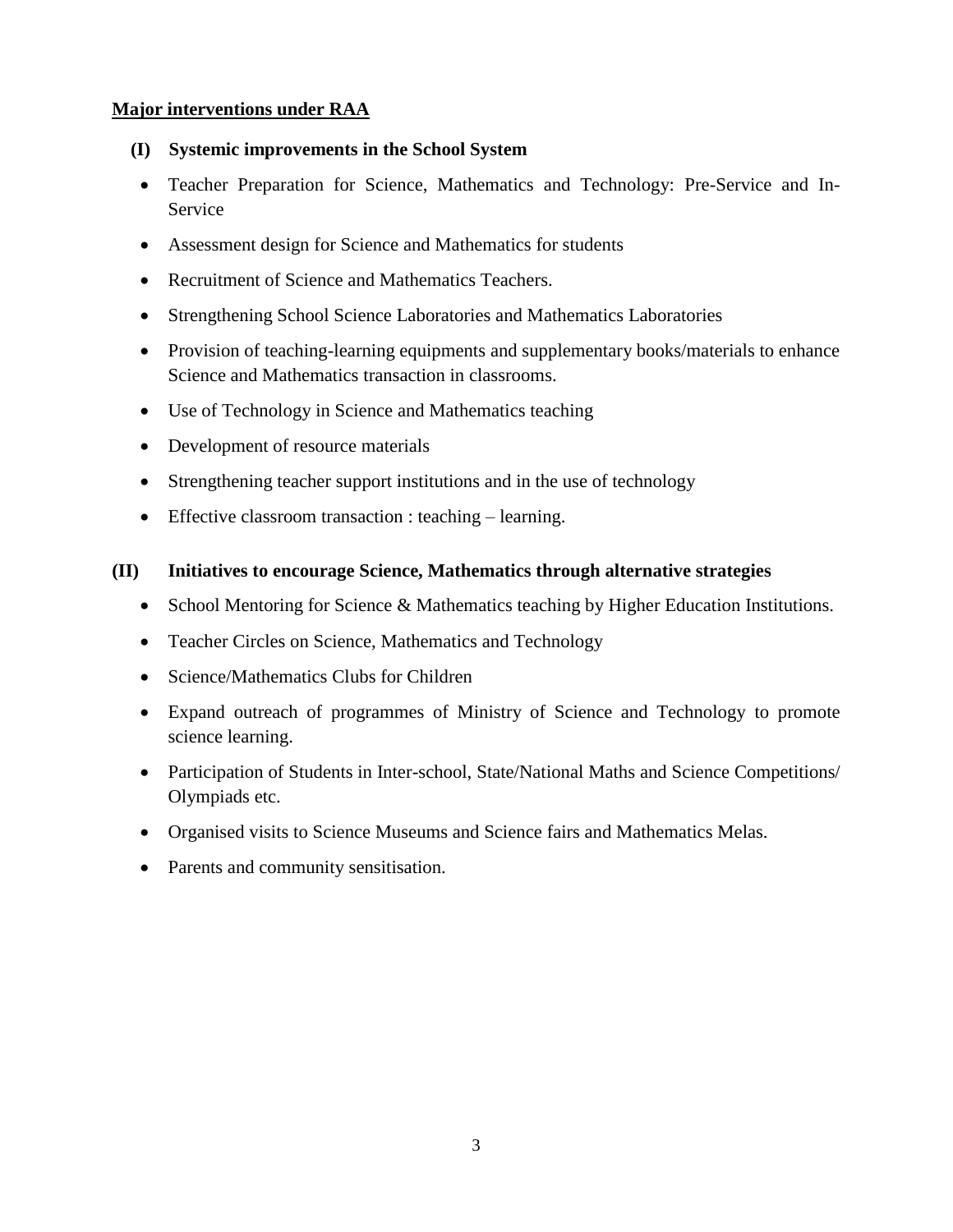### **Major interventions under RAA**

- **(I) Systemic improvements in the School System**
	- Teacher Preparation for Science, Mathematics and Technology: Pre-Service and In-Service
	- Assessment design for Science and Mathematics for students
	- Recruitment of Science and Mathematics Teachers.
	- Strengthening School Science Laboratories and Mathematics Laboratories
	- Provision of teaching-learning equipments and supplementary books/materials to enhance Science and Mathematics transaction in classrooms.
	- Use of Technology in Science and Mathematics teaching
	- Development of resource materials
	- Strengthening teacher support institutions and in the use of technology
	- Effective classroom transaction : teaching learning.

### **(II) Initiatives to encourage Science, Mathematics through alternative strategies**

- School Mentoring for Science & Mathematics teaching by Higher Education Institutions.
- Teacher Circles on Science, Mathematics and Technology
- Science/Mathematics Clubs for Children
- Expand outreach of programmes of Ministry of Science and Technology to promote science learning.
- Participation of Students in Inter-school, State/National Maths and Science Competitions/ Olympiads etc.
- Organised visits to Science Museums and Science fairs and Mathematics Melas.
- Parents and community sensitisation.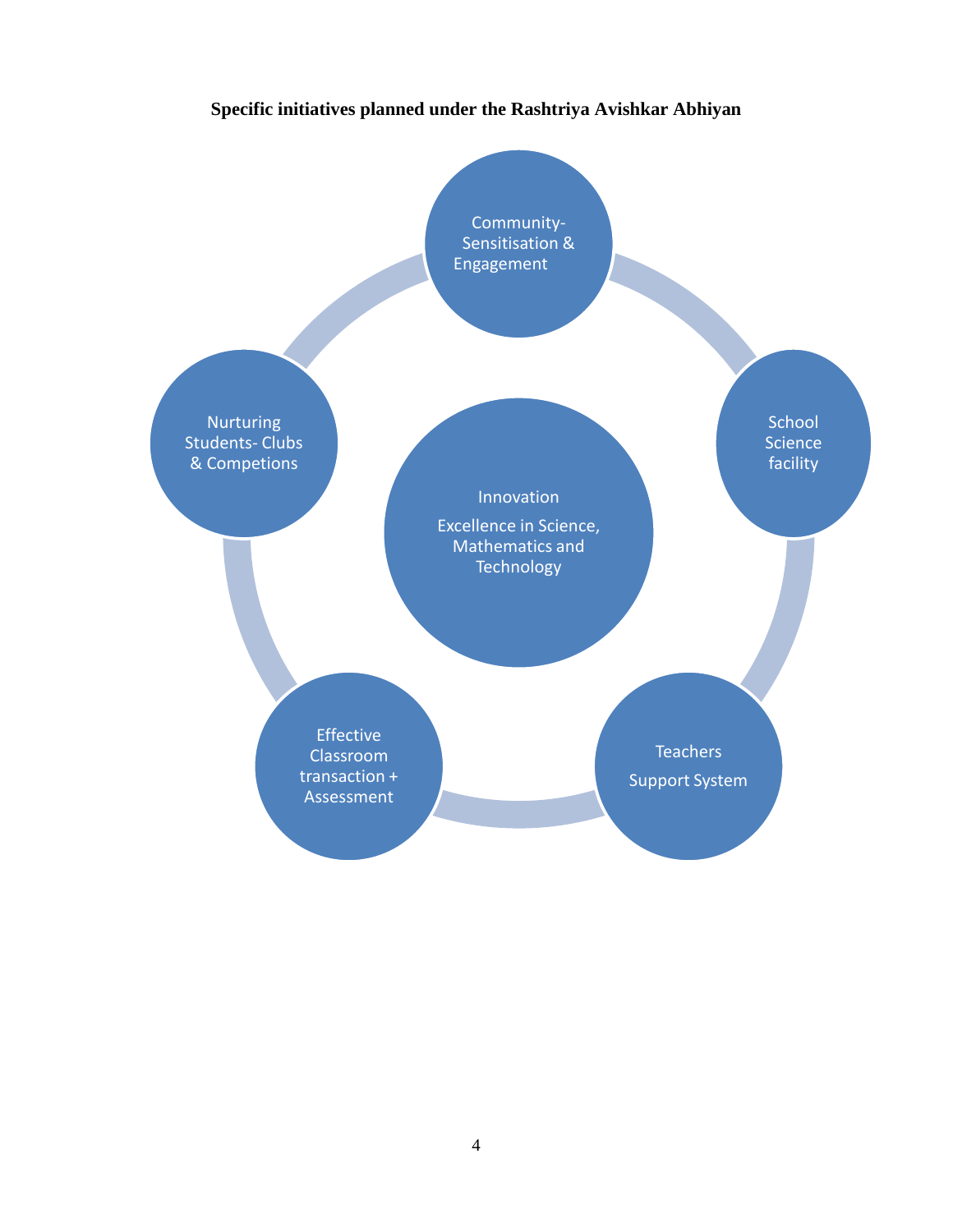# **Specific initiatives planned under the Rashtriya Avishkar Abhiyan**

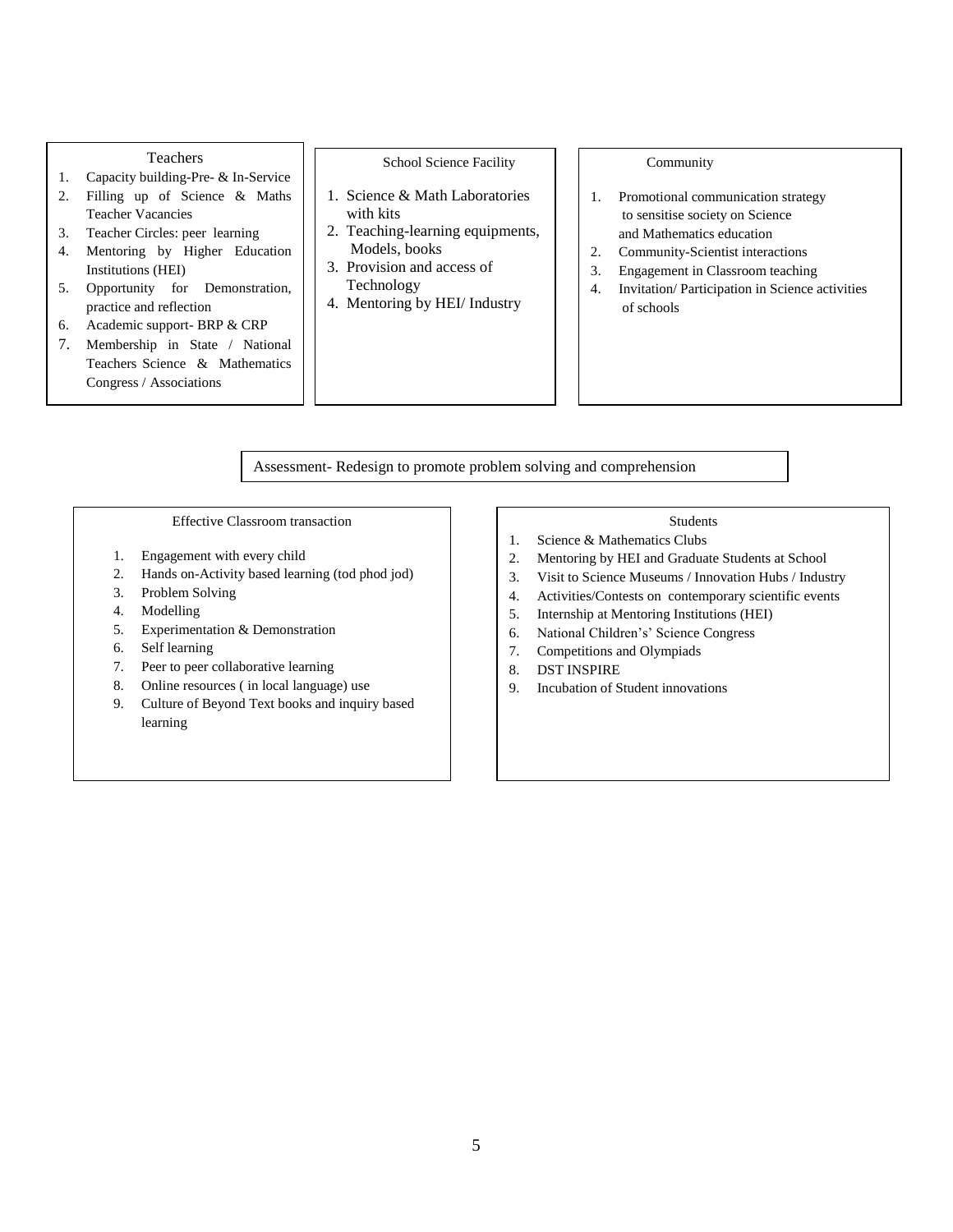#### Teachers

- 1. Capacity building-Pre- & In-Service
- 2. Filling up of Science & Maths Teacher Vacancies
- 3. Teacher Circles: peer learning
- 4. Mentoring by Higher Education Institutions (HEI)
- 5. Opportunity for Demonstration, practice and reflection
- 6. Academic support- BRP & CRP
- 7. Membership in State / National Teachers Science & Mathematics Congress / Associations

School Science Facility

- 1. Science & Math Laboratories with kits
- 2. Teaching-learning equipments, Models, books
- 3. Provision and access of Technology
- 4. Mentoring by HEI/ Industry

#### Community

- 1. Promotional communication strategy to sensitise society on Science and Mathematics education
- 2. Community-Scientist interactions
- 3. Engagement in Classroom teaching
- 4. Invitation/ Participation in Science activities of schools

Assessment- Redesign to promote problem solving and comprehension

#### Effective Classroom transaction

- 1. Engagement with every child
- 2. Hands on-Activity based learning (tod phod jod)
- 3. Problem Solving
- 4. Modelling
- 5. Experimentation & Demonstration
- 6. Self learning
- 7. Peer to peer collaborative learning
- 8. Online resources ( in local language) use
- 9. Culture of Beyond Text books and inquiry based learning

#### Students

- 1. Science & Mathematics Clubs
- 2. Mentoring by HEI and Graduate Students at School
- 3. Visit to Science Museums / Innovation Hubs / Industry
- 4. Activities/Contests on contemporary scientific events
- 5. Internship at Mentoring Institutions (HEI)
- 6. National Children's' Science Congress
- 7. Competitions and Olympiads
- 8. DST INSPIRE
- 9. Incubation of Student innovations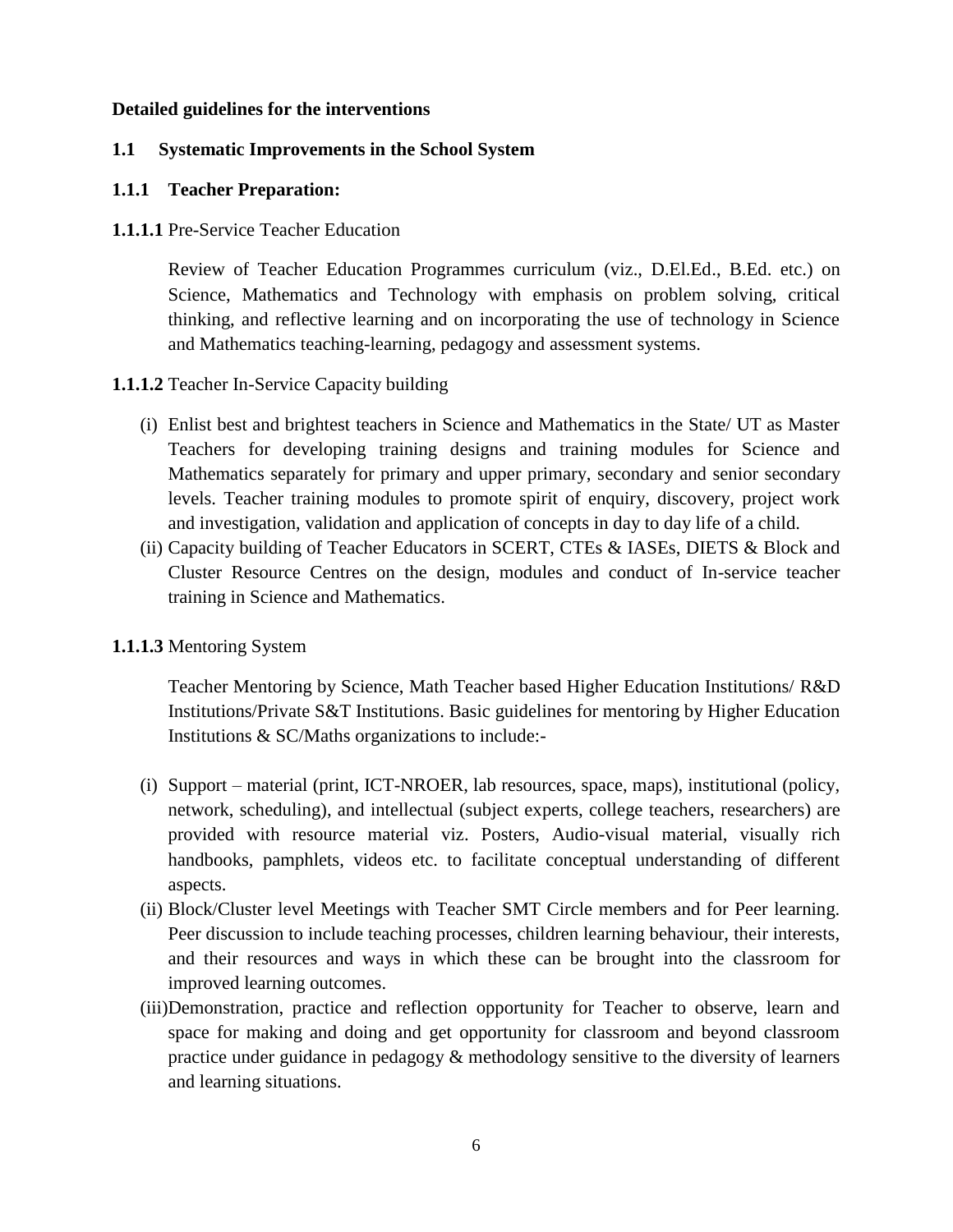#### **Detailed guidelines for the interventions**

#### **1.1 Systematic Improvements in the School System**

#### **1.1.1 Teacher Preparation:**

#### **1.1.1.1** Pre-Service Teacher Education

Review of Teacher Education Programmes curriculum (viz., D.El.Ed., B.Ed. etc.) on Science, Mathematics and Technology with emphasis on problem solving, critical thinking, and reflective learning and on incorporating the use of technology in Science and Mathematics teaching-learning, pedagogy and assessment systems.

### **1.1.1.2** Teacher In-Service Capacity building

- (i) Enlist best and brightest teachers in Science and Mathematics in the State/ UT as Master Teachers for developing training designs and training modules for Science and Mathematics separately for primary and upper primary, secondary and senior secondary levels. Teacher training modules to promote spirit of enquiry, discovery, project work and investigation, validation and application of concepts in day to day life of a child.
- (ii) Capacity building of Teacher Educators in SCERT, CTEs & IASEs, DIETS & Block and Cluster Resource Centres on the design, modules and conduct of In-service teacher training in Science and Mathematics.

### **1.1.1.3** Mentoring System

Teacher Mentoring by Science, Math Teacher based Higher Education Institutions/ R&D Institutions/Private S&T Institutions. Basic guidelines for mentoring by Higher Education Institutions & SC/Maths organizations to include:-

- (i) Support material (print, ICT-NROER, lab resources, space, maps), institutional (policy, network, scheduling), and intellectual (subject experts, college teachers, researchers) are provided with resource material viz. Posters, Audio-visual material, visually rich handbooks, pamphlets, videos etc. to facilitate conceptual understanding of different aspects.
- (ii) Block/Cluster level Meetings with Teacher SMT Circle members and for Peer learning. Peer discussion to include teaching processes, children learning behaviour, their interests, and their resources and ways in which these can be brought into the classroom for improved learning outcomes.
- (iii)Demonstration, practice and reflection opportunity for Teacher to observe, learn and space for making and doing and get opportunity for classroom and beyond classroom practice under guidance in pedagogy & methodology sensitive to the diversity of learners and learning situations.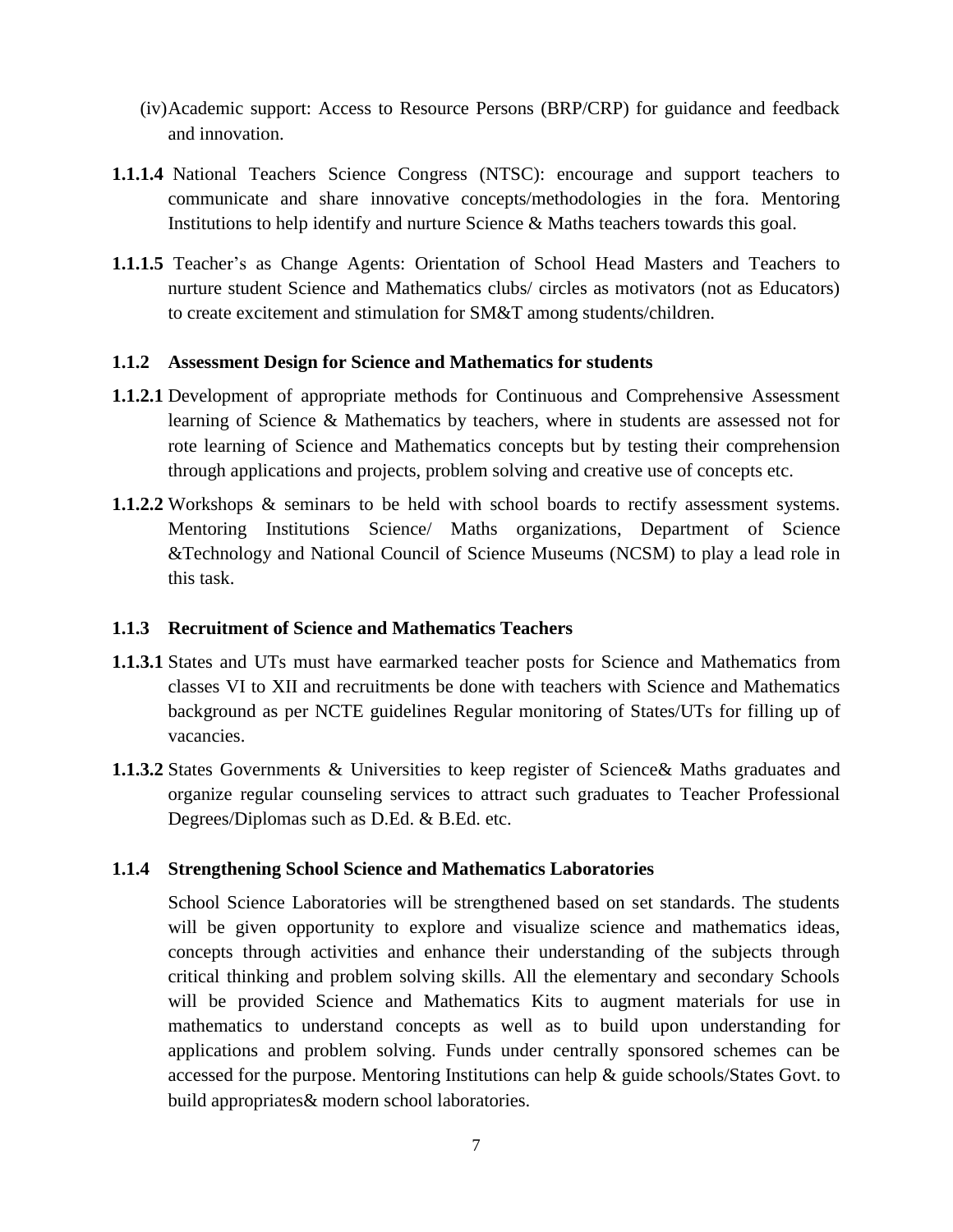- (iv)Academic support: Access to Resource Persons (BRP/CRP) for guidance and feedback and innovation.
- **1.1.1.4** National Teachers Science Congress (NTSC): encourage and support teachers to communicate and share innovative concepts/methodologies in the fora. Mentoring Institutions to help identify and nurture Science & Maths teachers towards this goal.
- **1.1.1.5** Teacher's as Change Agents: Orientation of School Head Masters and Teachers to nurture student Science and Mathematics clubs/ circles as motivators (not as Educators) to create excitement and stimulation for SM&T among students/children.

#### **1.1.2 Assessment Design for Science and Mathematics for students**

- **1.1.2.1** Development of appropriate methods for Continuous and Comprehensive Assessment learning of Science & Mathematics by teachers, where in students are assessed not for rote learning of Science and Mathematics concepts but by testing their comprehension through applications and projects, problem solving and creative use of concepts etc.
- **1.1.2.2** Workshops & seminars to be held with school boards to rectify assessment systems. Mentoring Institutions Science/ Maths organizations, Department of Science &Technology and National Council of Science Museums (NCSM) to play a lead role in this task.

### **1.1.3 Recruitment of Science and Mathematics Teachers**

- **1.1.3.1** States and UTs must have earmarked teacher posts for Science and Mathematics from classes VI to XII and recruitments be done with teachers with Science and Mathematics background as per NCTE guidelines Regular monitoring of States/UTs for filling up of vacancies.
- **1.1.3.2** States Governments & Universities to keep register of Science& Maths graduates and organize regular counseling services to attract such graduates to Teacher Professional Degrees/Diplomas such as D.Ed. & B.Ed. etc.

### **1.1.4 Strengthening School Science and Mathematics Laboratories**

School Science Laboratories will be strengthened based on set standards. The students will be given opportunity to explore and visualize science and mathematics ideas, concepts through activities and enhance their understanding of the subjects through critical thinking and problem solving skills. All the elementary and secondary Schools will be provided Science and Mathematics Kits to augment materials for use in mathematics to understand concepts as well as to build upon understanding for applications and problem solving. Funds under centrally sponsored schemes can be accessed for the purpose. Mentoring Institutions can help & guide schools/States Govt. to build appropriates& modern school laboratories.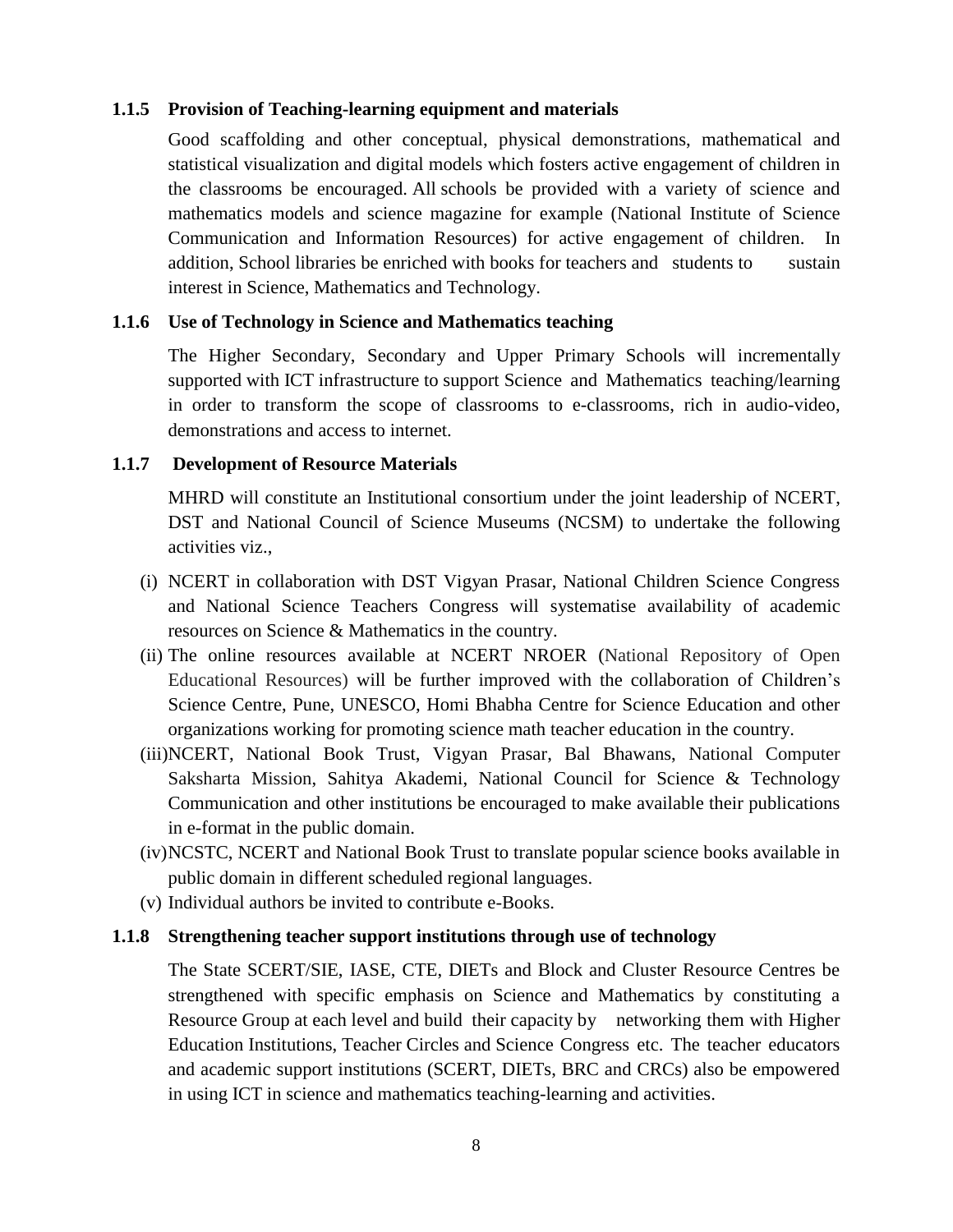#### **1.1.5 Provision of Teaching-learning equipment and materials**

Good scaffolding and other conceptual, physical demonstrations, mathematical and statistical visualization and digital models which fosters active engagement of children in the classrooms be encouraged. All schools be provided with a variety of science and mathematics models and science magazine for example (National Institute of Science Communication and Information Resources) for active engagement of children. In addition, School libraries be enriched with books for teachers and students to sustain interest in Science, Mathematics and Technology.

#### **1.1.6 Use of Technology in Science and Mathematics teaching**

The Higher Secondary, Secondary and Upper Primary Schools will incrementally supported with ICT infrastructure to support Science and Mathematics teaching/learning in order to transform the scope of classrooms to e-classrooms, rich in audio-video, demonstrations and access to internet.

#### **1.1.7 Development of Resource Materials**

MHRD will constitute an Institutional consortium under the joint leadership of NCERT, DST and National Council of Science Museums (NCSM) to undertake the following activities viz.,

- (i) NCERT in collaboration with DST Vigyan Prasar, National Children Science Congress and National Science Teachers Congress will systematise availability of academic resources on Science & Mathematics in the country.
- (ii) The online resources available at NCERT NROER (National Repository of Open Educational Resources) will be further improved with the collaboration of Children's Science Centre, Pune, UNESCO, Homi Bhabha Centre for Science Education and other organizations working for promoting science math teacher education in the country.
- (iii)NCERT, National Book Trust, Vigyan Prasar, Bal Bhawans, [National Computer](http://www.google.co.in/url?sa=t&rct=j&q=&esrc=s&source=web&cd=3&cad=rja&uact=8&ved=0CCwQFjAC&url=http%3A%2F%2Fwww.ncsmindia.com%2F&ei=5VXzU7SqM8q3uATU0YC4Bg&usg=AFQjCNE16zhp7N63LMKlBYiReL2IWFlckA&bvm=bv.73231344,d.c2E)  [Saksharta Mission,](http://www.google.co.in/url?sa=t&rct=j&q=&esrc=s&source=web&cd=3&cad=rja&uact=8&ved=0CCwQFjAC&url=http%3A%2F%2Fwww.ncsmindia.com%2F&ei=5VXzU7SqM8q3uATU0YC4Bg&usg=AFQjCNE16zhp7N63LMKlBYiReL2IWFlckA&bvm=bv.73231344,d.c2E) Sahitya Akademi, National Council for Science & Technology Communication and other institutions be encouraged to make available their publications in e-format in the public domain.
- (iv)NCSTC, NCERT and National Book Trust to translate popular science books available in public domain in different scheduled regional languages.
- (v) Individual authors be invited to contribute e-Books.

#### **1.1.8 Strengthening teacher support institutions through use of technology**

The State SCERT/SIE, IASE, CTE, DIETs and Block and Cluster Resource Centres be strengthened with specific emphasis on Science and Mathematics by constituting a Resource Group at each level and build their capacity by networking them with Higher Education Institutions, Teacher Circles and Science Congress etc. The teacher educators and academic support institutions (SCERT, DIETs, BRC and CRCs) also be empowered in using ICT in science and mathematics teaching-learning and activities.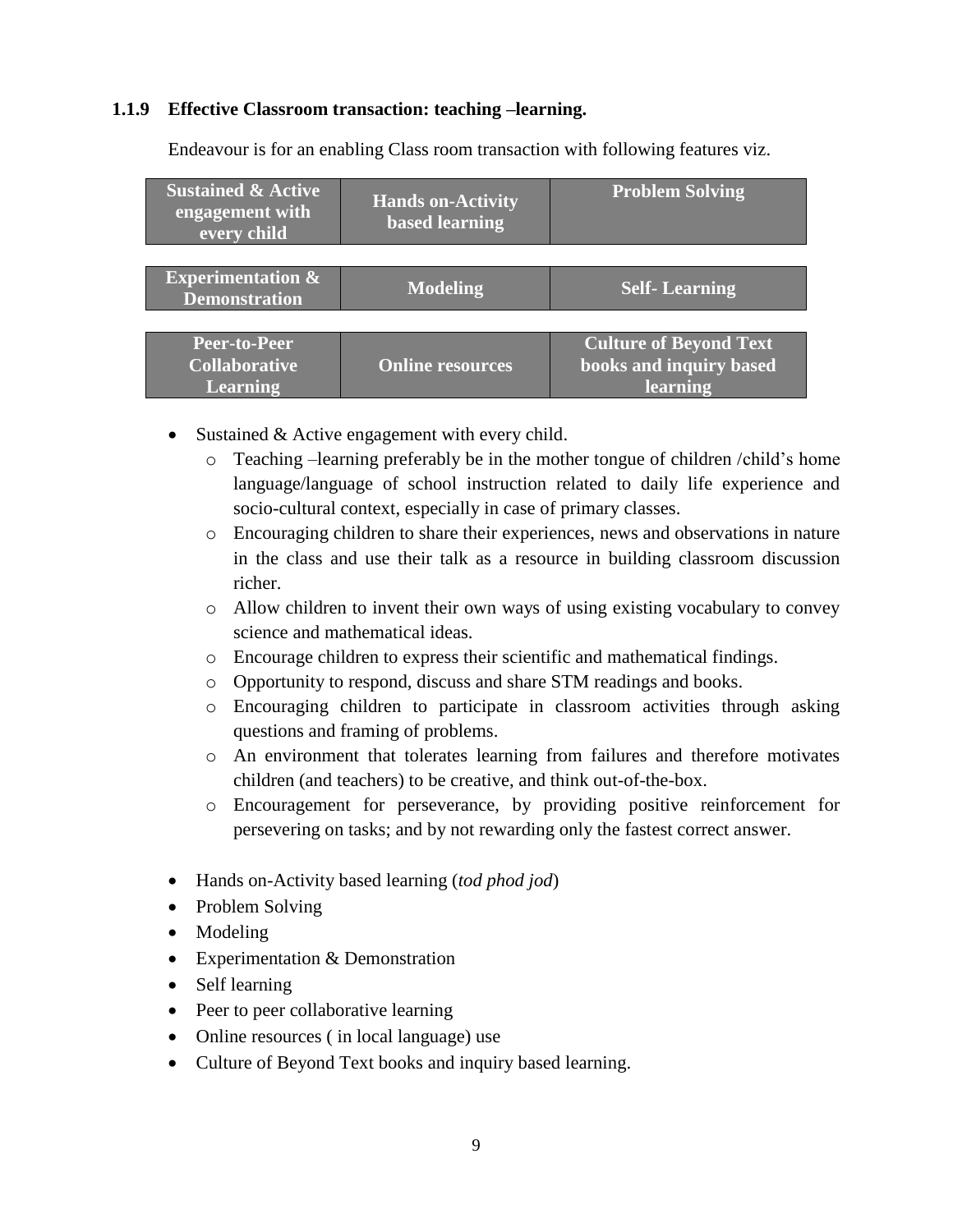#### **1.1.9 Effective Classroom transaction: teaching –learning.**

| <b>Sustained &amp; Active</b><br>engagement with<br>every child | <b>Hands on-Activity</b><br><b>based learning</b> | <b>Problem Solving</b>        |  |
|-----------------------------------------------------------------|---------------------------------------------------|-------------------------------|--|
|                                                                 |                                                   |                               |  |
| <b>Experimentation &amp;</b><br><b>Demonstration</b>            | <b>Modeling</b>                                   | <b>Self-Learning</b>          |  |
|                                                                 |                                                   |                               |  |
| Peer-to-Peer                                                    |                                                   | <b>Culture of Beyond Text</b> |  |
| <b>Collaborative</b>                                            | <b>Online resources</b>                           | books and inquiry based       |  |
| <b>Learning</b>                                                 |                                                   | learning                      |  |

Endeavour is for an enabling Class room transaction with following features viz.

- Sustained & Active engagement with every child.
	- o Teaching –learning preferably be in the mother tongue of children /child's home language/language of school instruction related to daily life experience and socio-cultural context, especially in case of primary classes.
	- o Encouraging children to share their experiences, news and observations in nature in the class and use their talk as a resource in building classroom discussion richer.
	- o Allow children to invent their own ways of using existing vocabulary to convey science and mathematical ideas.
	- o Encourage children to express their scientific and mathematical findings.
	- o Opportunity to respond, discuss and share STM readings and books.
	- o Encouraging children to participate in classroom activities through asking questions and framing of problems.
	- o An environment that tolerates learning from failures and therefore motivates children (and teachers) to be creative, and think out-of-the-box.
	- o Encouragement for perseverance, by providing positive reinforcement for persevering on tasks; and by not rewarding only the fastest correct answer.
- Hands on-Activity based learning (*tod phod jod*)
- Problem Solving
- Modeling
- Experimentation & Demonstration
- Self learning
- Peer to peer collaborative learning
- Online resources (in local language) use
- Culture of Beyond Text books and inquiry based learning.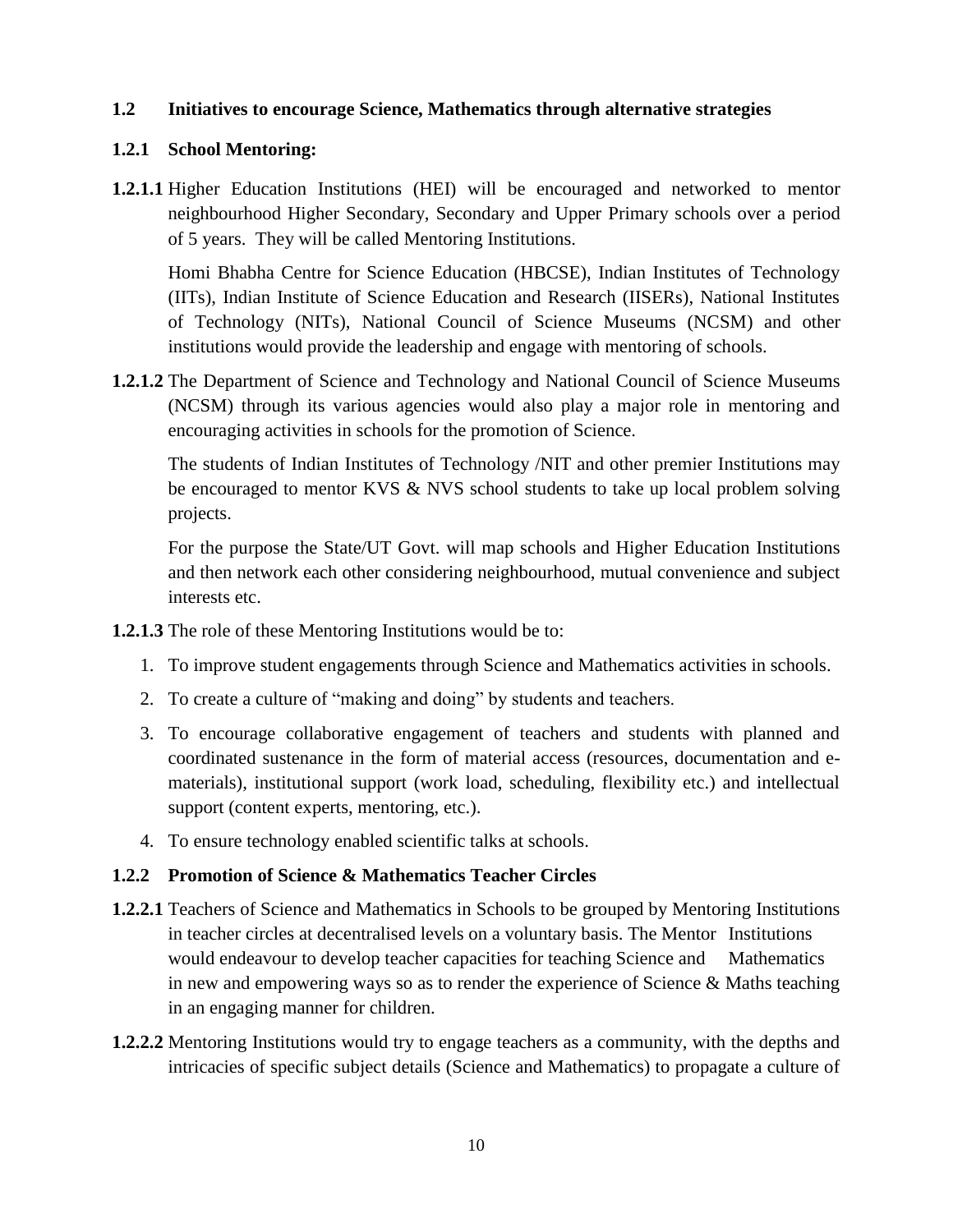### **1.2 Initiatives to encourage Science, Mathematics through alternative strategies**

### **1.2.1 School Mentoring:**

**1.2.1.1** Higher Education Institutions (HEI) will be encouraged and networked to mentor neighbourhood Higher Secondary, Secondary and Upper Primary schools over a period of 5 years. They will be called Mentoring Institutions.

Homi Bhabha Centre for Science Education (HBCSE), Indian Institutes of Technology (IITs), Indian Institute of Science Education and Research (IISERs), National Institutes of Technology (NITs), National Council of Science Museums (NCSM) and other institutions would provide the leadership and engage with mentoring of schools.

**1.2.1.2** The Department of Science and Technology and National Council of Science Museums (NCSM) through its various agencies would also play a major role in mentoring and encouraging activities in schools for the promotion of Science.

The students of Indian Institutes of Technology /NIT and other premier Institutions may be encouraged to mentor KVS & NVS school students to take up local problem solving projects.

For the purpose the State/UT Govt. will map schools and Higher Education Institutions and then network each other considering neighbourhood, mutual convenience and subject interests etc.

- **1.2.1.3** The role of these Mentoring Institutions would be to:
	- 1. To improve student engagements through Science and Mathematics activities in schools.
	- 2. To create a culture of "making and doing" by students and teachers.
	- 3. To encourage collaborative engagement of teachers and students with planned and coordinated sustenance in the form of material access (resources, documentation and ematerials), institutional support (work load, scheduling, flexibility etc.) and intellectual support (content experts, mentoring, etc.).
	- 4. To ensure technology enabled scientific talks at schools.

### **1.2.2 Promotion of Science & Mathematics Teacher Circles**

- **1.2.2.1** Teachers of Science and Mathematics in Schools to be grouped by Mentoring Institutions in teacher circles at decentralised levels on a voluntary basis. The Mentor Institutions would endeavour to develop teacher capacities for teaching Science and Mathematics in new and empowering ways so as to render the experience of Science & Maths teaching in an engaging manner for children.
- **1.2.2.2** Mentoring Institutions would try to engage teachers as a community, with the depths and intricacies of specific subject details (Science and Mathematics) to propagate a culture of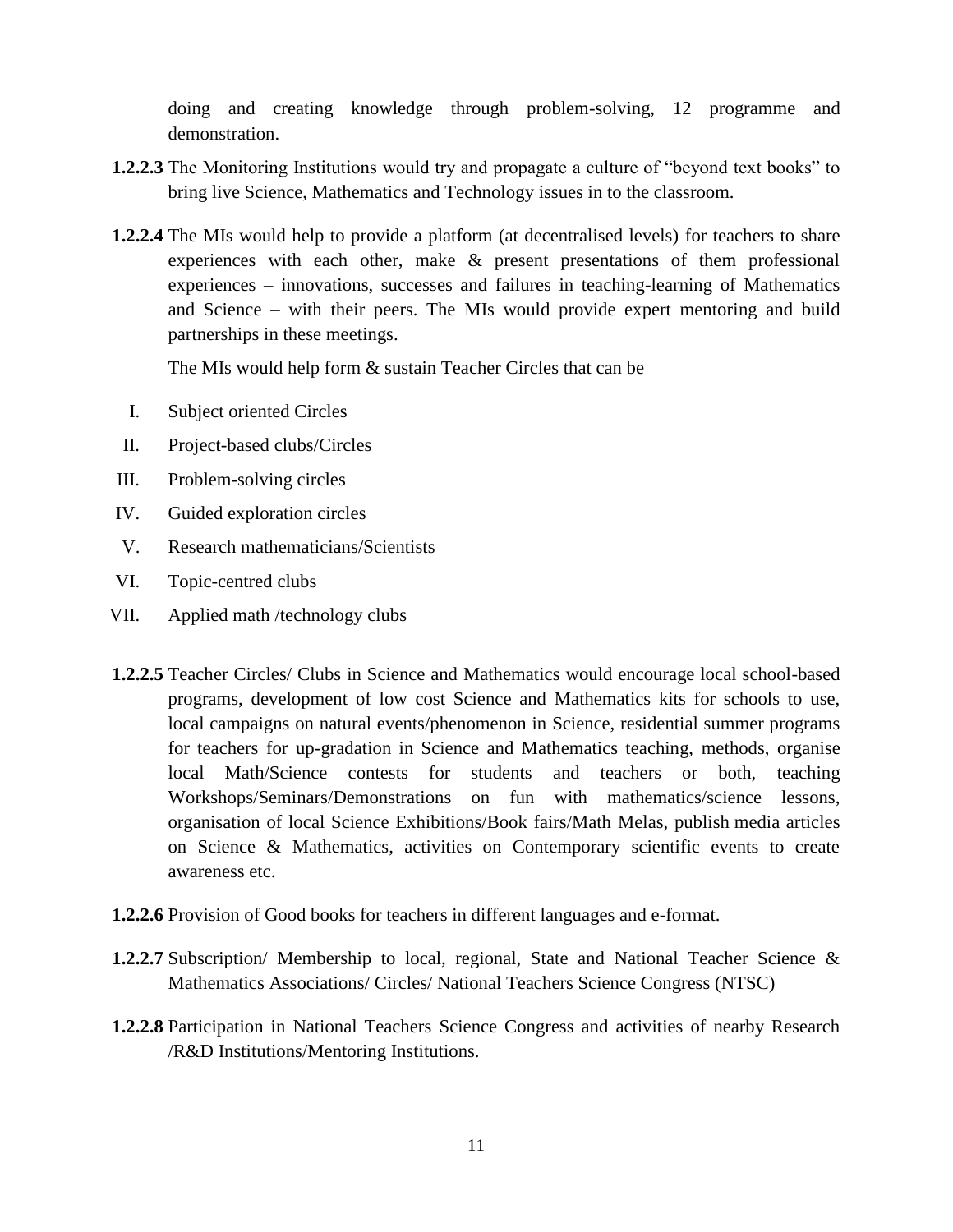doing and creating knowledge through problem-solving, 12 programme and demonstration.

- **1.2.2.3** The Monitoring Institutions would try and propagate a culture of "beyond text books" to bring live Science, Mathematics and Technology issues in to the classroom.
- **1.2.2.4** The MIs would help to provide a platform (at decentralised levels) for teachers to share experiences with each other, make & present presentations of them professional experiences – innovations, successes and failures in teaching-learning of Mathematics and Science – with their peers. The MIs would provide expert mentoring and build partnerships in these meetings.

The MIs would help form & sustain Teacher Circles that can be

- I. Subject oriented Circles
- II. Project-based clubs/Circles
- III. Problem-solving circles
- IV. Guided exploration circles
- V. Research mathematicians/Scientists
- VI. Topic-centred clubs
- VII. Applied math /technology clubs
- **1.2.2.5** Teacher Circles/ Clubs in Science and Mathematics would encourage local school-based programs, development of low cost Science and Mathematics kits for schools to use, local campaigns on natural events/phenomenon in Science, residential summer programs for teachers for up-gradation in Science and Mathematics teaching, methods, organise local Math/Science contests for students and teachers or both, teaching Workshops/Seminars/Demonstrations on fun with mathematics/science lessons, organisation of local Science Exhibitions/Book fairs/Math Melas, publish media articles on Science & Mathematics, activities on Contemporary scientific events to create awareness etc.
- **1.2.2.6** Provision of Good books for teachers in different languages and e-format.
- **1.2.2.7** Subscription/ Membership to local, regional, State and National Teacher Science & Mathematics Associations/ Circles/ National Teachers Science Congress (NTSC)
- **1.2.2.8** Participation in National Teachers Science Congress and activities of nearby Research /R&D Institutions/Mentoring Institutions.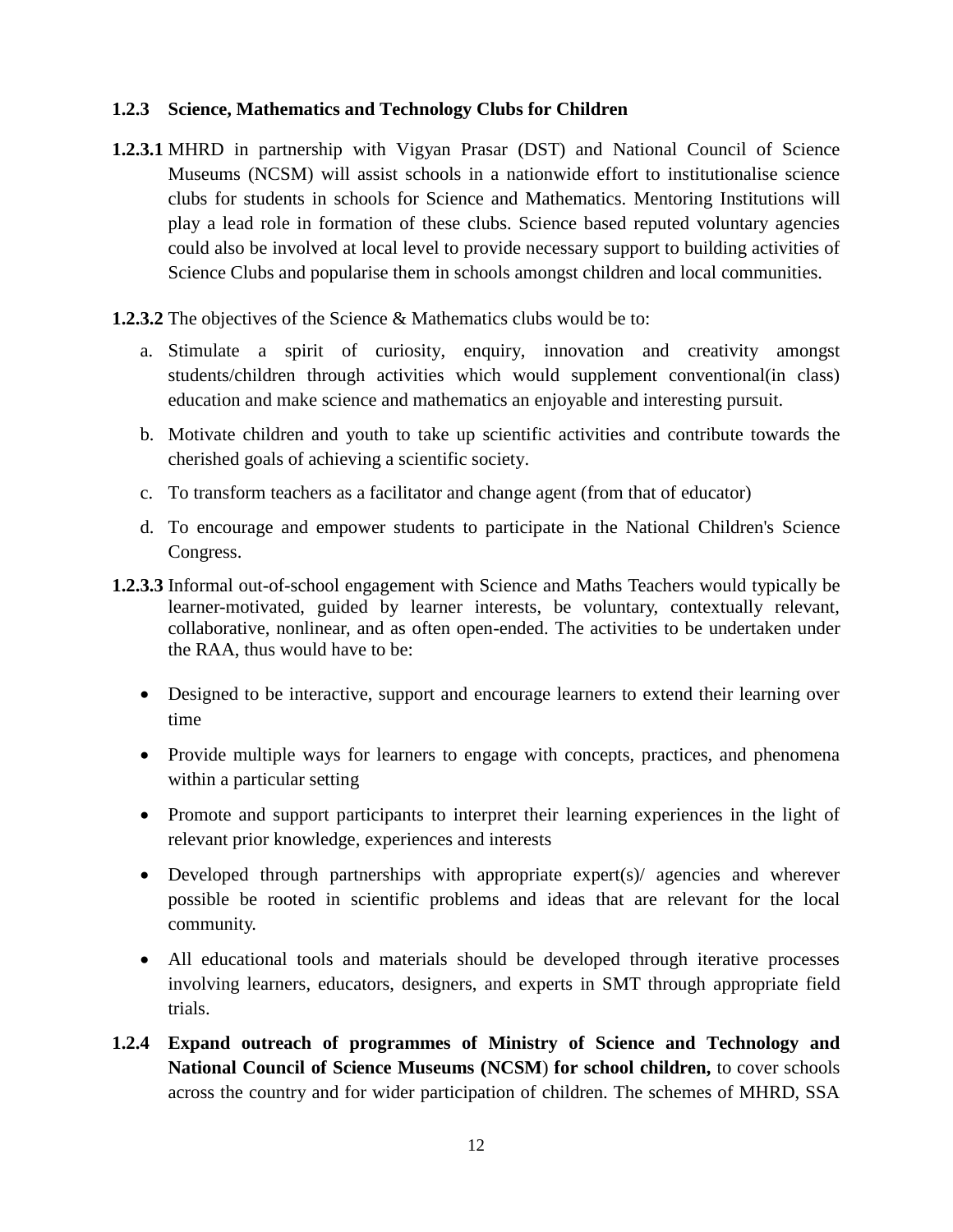### **1.2.3 Science, Mathematics and Technology Clubs for Children**

- **1.2.3.1** MHRD in partnership with Vigyan Prasar (DST) and National Council of Science Museums (NCSM) will assist schools in a nationwide effort to institutionalise science clubs for students in schools for Science and Mathematics. Mentoring Institutions will play a lead role in formation of these clubs. Science based reputed voluntary agencies could also be involved at local level to provide necessary support to building activities of Science Clubs and popularise them in schools amongst children and local communities.
- **1.2.3.2** The objectives of the Science & Mathematics clubs would be to:
	- a. Stimulate a spirit of curiosity, enquiry, innovation and creativity amongst students/children through activities which would supplement conventional(in class) education and make science and mathematics an enjoyable and interesting pursuit.
	- b. Motivate children and youth to take up scientific activities and contribute towards the cherished goals of achieving a scientific society.
	- c. To transform teachers as a facilitator and change agent (from that of educator)
	- d. To encourage and empower students to participate in the National Children's Science Congress.
- **1.2.3.3** Informal out-of-school engagement with Science and Maths Teachers would typically be learner-motivated, guided by learner interests, be voluntary, contextually relevant, collaborative, nonlinear, and as often open-ended. The activities to be undertaken under the RAA, thus would have to be:
	- Designed to be interactive, support and encourage learners to extend their learning over time
	- Provide multiple ways for learners to engage with concepts, practices, and phenomena within a particular setting
	- Promote and support participants to interpret their learning experiences in the light of relevant prior knowledge, experiences and interests
	- Developed through partnerships with appropriate expert(s)/ agencies and wherever possible be rooted in scientific problems and ideas that are relevant for the local community.
	- All educational tools and materials should be developed through iterative processes involving learners, educators, designers, and experts in SMT through appropriate field trials.
- **1.2.4 Expand outreach of programmes of Ministry of Science and Technology and National Council of Science Museums (NCSM**) **for school children,** to cover schools across the country and for wider participation of children. The schemes of MHRD, SSA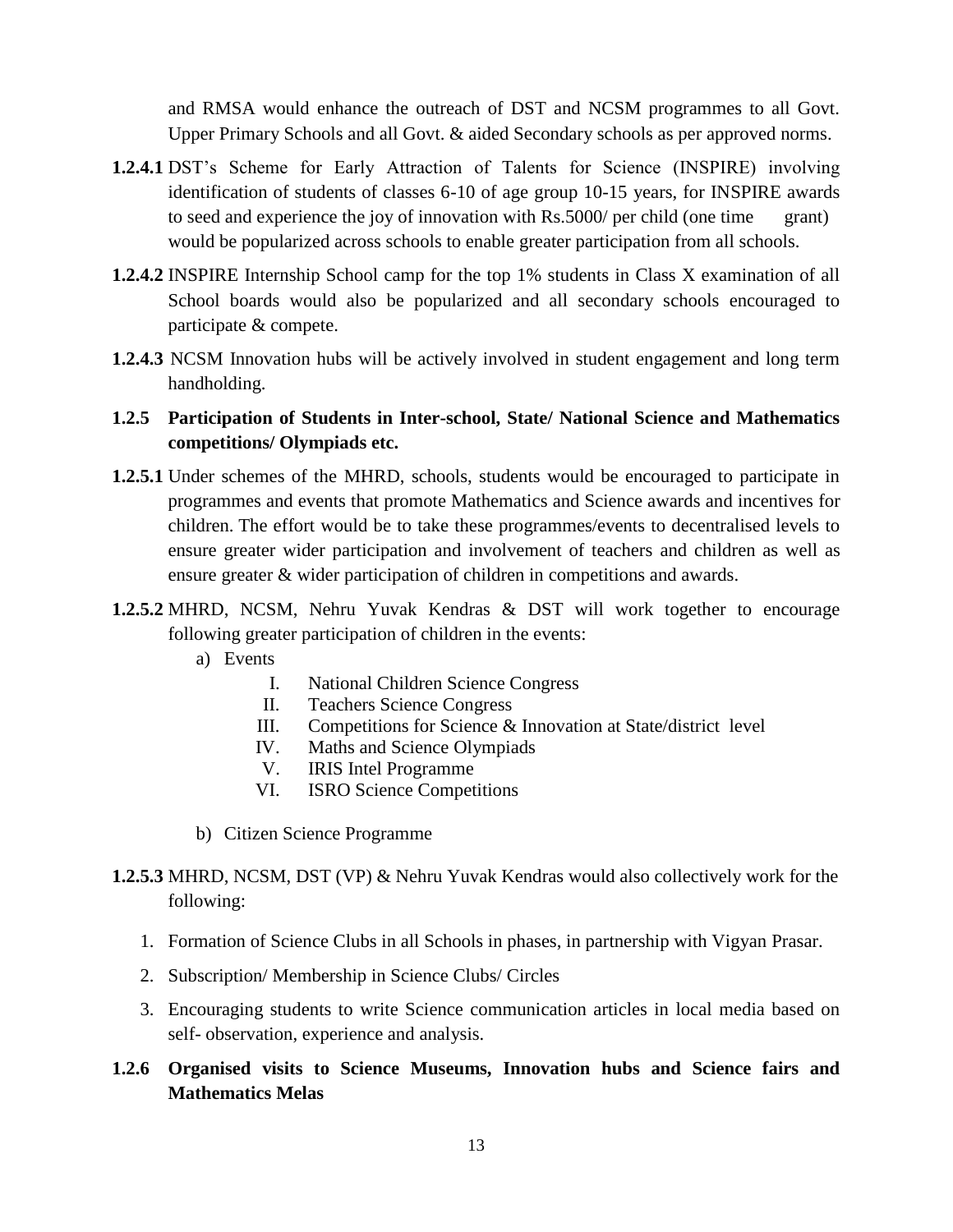and RMSA would enhance the outreach of DST and NCSM programmes to all Govt. Upper Primary Schools and all Govt. & aided Secondary schools as per approved norms.

- **1.2.4.1** DST's Scheme for Early Attraction of Talents for Science (INSPIRE) involving identification of students of classes 6-10 of age group 10-15 years, for INSPIRE awards to seed and experience the joy of innovation with Rs.5000/ per child (one time grant) would be popularized across schools to enable greater participation from all schools.
- **1.2.4.2** INSPIRE Internship School camp for the top 1% students in Class X examination of all School boards would also be popularized and all secondary schools encouraged to participate & compete.
- **1.2.4.3** NCSM Innovation hubs will be actively involved in student engagement and long term handholding.

# **1.2.5 Participation of Students in Inter-school, State/ National Science and Mathematics competitions/ Olympiads etc.**

- **1.2.5.1** Under schemes of the MHRD, schools, students would be encouraged to participate in programmes and events that promote Mathematics and Science awards and incentives for children. The effort would be to take these programmes/events to decentralised levels to ensure greater wider participation and involvement of teachers and children as well as ensure greater & wider participation of children in competitions and awards.
- **1.2.5.2** MHRD, NCSM, Nehru Yuvak Kendras & DST will work together to encourage following greater participation of children in the events:
	- a) Events
		- I. National Children Science Congress
		- II. Teachers Science Congress
		- III. Competitions for Science & Innovation at State/district level
		- IV. Maths and Science Olympiads
		- V. IRIS Intel Programme
		- VI. ISRO Science Competitions
	- b) Citizen Science Programme

# **1.2.5.3** MHRD, NCSM, DST (VP) & Nehru Yuvak Kendras would also collectively work for the following:

- 1. Formation of Science Clubs in all Schools in phases, in partnership with Vigyan Prasar.
- 2. Subscription/ Membership in Science Clubs/ Circles
- 3. Encouraging students to write Science communication articles in local media based on self- observation, experience and analysis.

### **1.2.6 Organised visits to Science Museums, Innovation hubs and Science fairs and Mathematics Melas**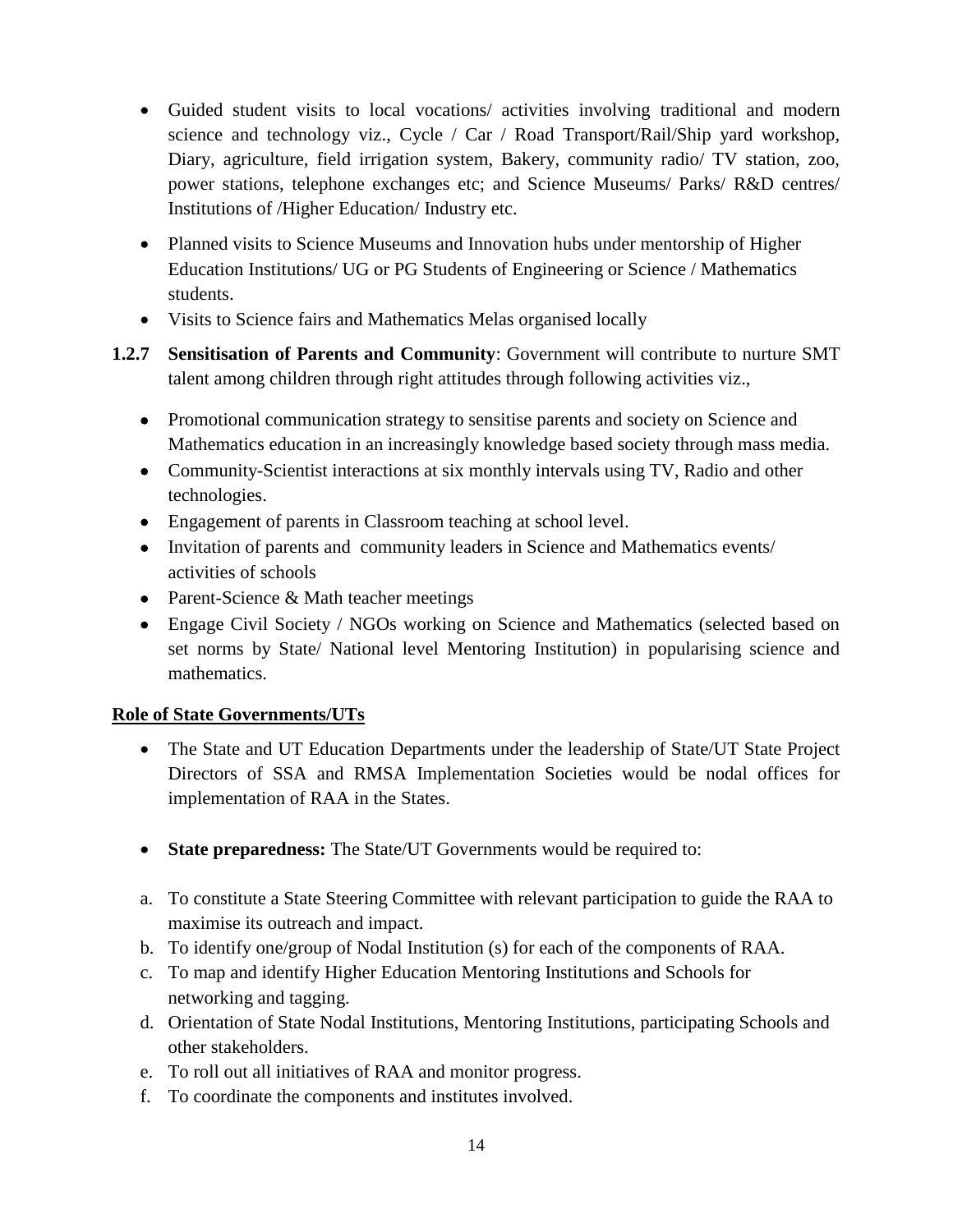- Guided student visits to local vocations/ activities involving traditional and modern science and technology viz., Cycle / Car / Road Transport/Rail/Ship yard workshop, Diary, agriculture, field irrigation system, Bakery, community radio/ TV station, zoo, power stations, telephone exchanges etc; and Science Museums/ Parks/ R&D centres/ Institutions of /Higher Education/ Industry etc.
- Planned visits to Science Museums and Innovation hubs under mentorship of Higher Education Institutions/ UG or PG Students of Engineering or Science / Mathematics students.
- Visits to Science fairs and Mathematics Melas organised locally
- **1.2.7 Sensitisation of Parents and Community**: Government will contribute to nurture SMT talent among children through right attitudes through following activities viz.,
	- Promotional communication strategy to sensitise parents and society on Science and Mathematics education in an increasingly knowledge based society through mass media.
	- Community-Scientist interactions at six monthly intervals using TV, Radio and other technologies.
	- Engagement of parents in Classroom teaching at school level.
	- Invitation of parents and community leaders in Science and Mathematics events/ activities of schools
	- Parent-Science & Math teacher meetings
	- Engage Civil Society / NGOs working on Science and Mathematics (selected based on set norms by State/ National level Mentoring Institution) in popularising science and mathematics.

### **Role of State Governments/UTs**

- The State and UT Education Departments under the leadership of State/UT State Project Directors of SSA and RMSA Implementation Societies would be nodal offices for implementation of RAA in the States.
- **State preparedness:** The State/UT Governments would be required to:
- a. To constitute a State Steering Committee with relevant participation to guide the RAA to maximise its outreach and impact.
- b. To identify one/group of Nodal Institution (s) for each of the components of RAA.
- c. To map and identify Higher Education Mentoring Institutions and Schools for networking and tagging.
- d. Orientation of State Nodal Institutions, Mentoring Institutions, participating Schools and other stakeholders.
- e. To roll out all initiatives of RAA and monitor progress.
- f. To coordinate the components and institutes involved.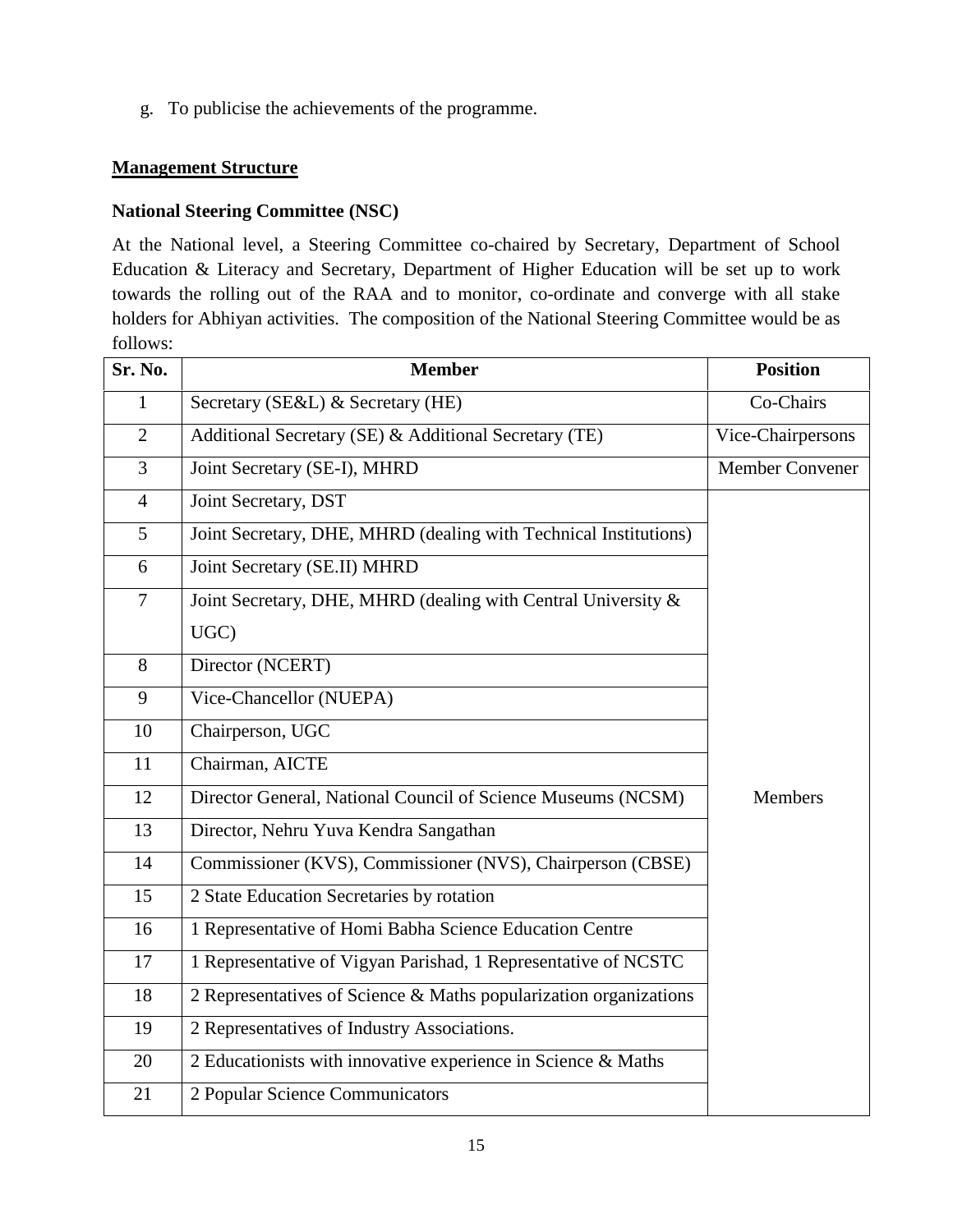g. To publicise the achievements of the programme.

### **Management Structure**

### **National Steering Committee (NSC)**

At the National level, a Steering Committee co-chaired by Secretary, Department of School Education & Literacy and Secretary, Department of Higher Education will be set up to work towards the rolling out of the RAA and to monitor, co-ordinate and converge with all stake holders for Abhiyan activities. The composition of the National Steering Committee would be as follows:

| Sr. No.        | <b>Member</b>                                                     | <b>Position</b>   |
|----------------|-------------------------------------------------------------------|-------------------|
| $\mathbf{1}$   | Secretary (SE&L) & Secretary (HE)                                 | Co-Chairs         |
| $\overline{2}$ | Additional Secretary (SE) & Additional Secretary (TE)             | Vice-Chairpersons |
| 3              | Joint Secretary (SE-I), MHRD                                      | Member Convener   |
| $\overline{4}$ | Joint Secretary, DST                                              |                   |
| 5 <sup>5</sup> | Joint Secretary, DHE, MHRD (dealing with Technical Institutions)  |                   |
| 6              | Joint Secretary (SE.II) MHRD                                      |                   |
| $\overline{7}$ | Joint Secretary, DHE, MHRD (dealing with Central University &     |                   |
|                | UGC)                                                              |                   |
| 8              | Director (NCERT)                                                  |                   |
| 9              | Vice-Chancellor (NUEPA)                                           |                   |
| 10             | Chairperson, UGC                                                  |                   |
| 11             | Chairman, AICTE                                                   |                   |
| 12             | Director General, National Council of Science Museums (NCSM)      | <b>Members</b>    |
| 13             | Director, Nehru Yuva Kendra Sangathan                             |                   |
| 14             | Commissioner (KVS), Commissioner (NVS), Chairperson (CBSE)        |                   |
| 15             | 2 State Education Secretaries by rotation                         |                   |
| 16             | 1 Representative of Homi Babha Science Education Centre           |                   |
| 17             | 1 Representative of Vigyan Parishad, 1 Representative of NCSTC    |                   |
| 18             | 2 Representatives of Science & Maths popularization organizations |                   |
| 19             | 2 Representatives of Industry Associations.                       |                   |
| 20             | 2 Educationists with innovative experience in Science & Maths     |                   |
| 21             | 2 Popular Science Communicators                                   |                   |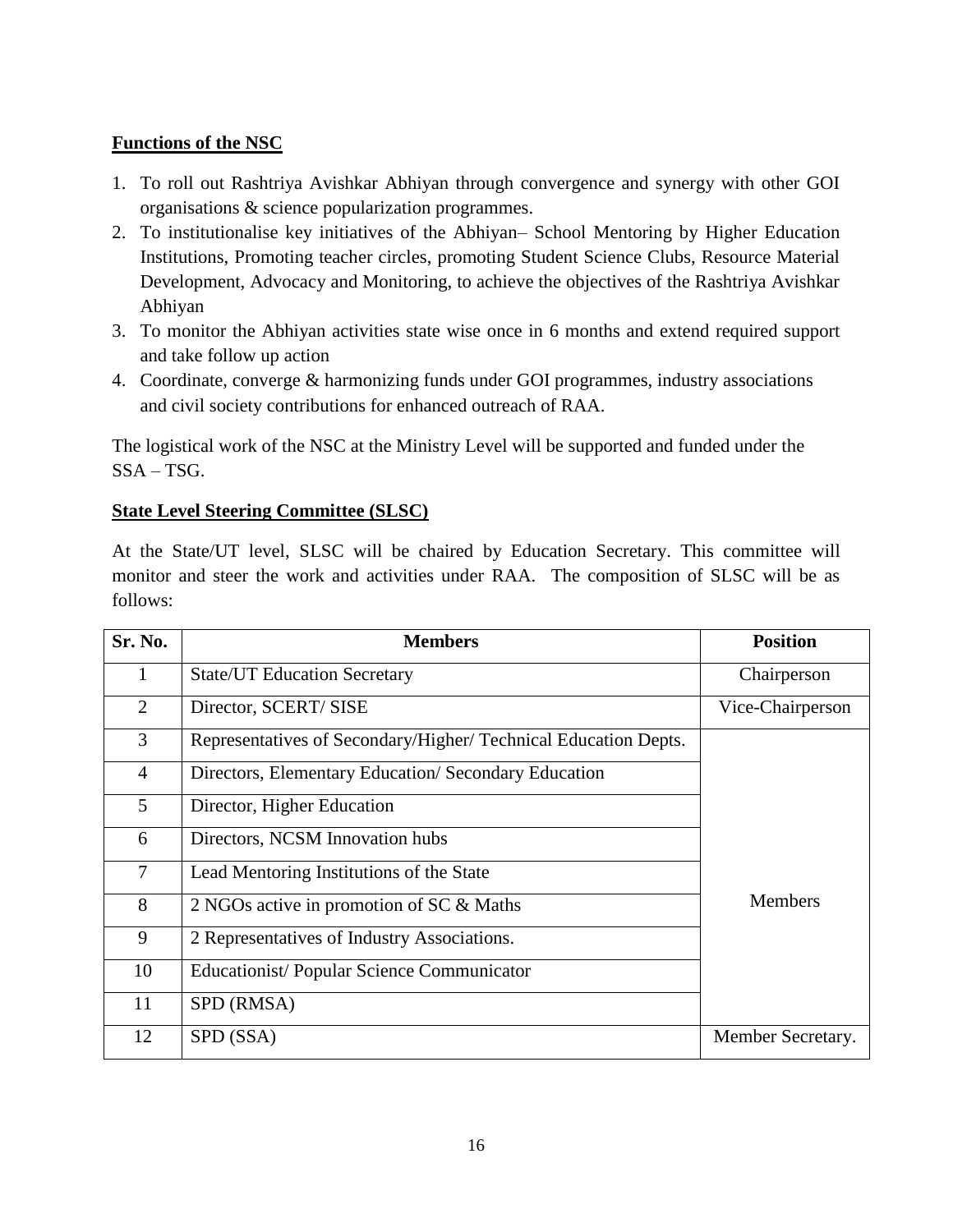### **Functions of the NSC**

- 1. To roll out Rashtriya Avishkar Abhiyan through convergence and synergy with other GOI organisations & science popularization programmes.
- 2. To institutionalise key initiatives of the Abhiyan– School Mentoring by Higher Education Institutions, Promoting teacher circles, promoting Student Science Clubs, Resource Material Development, Advocacy and Monitoring, to achieve the objectives of the Rashtriya Avishkar Abhiyan
- 3. To monitor the Abhiyan activities state wise once in 6 months and extend required support and take follow up action
- 4. Coordinate, converge & harmonizing funds under GOI programmes, industry associations and civil society contributions for enhanced outreach of RAA.

The logistical work of the NSC at the Ministry Level will be supported and funded under the SSA – TSG.

### **State Level Steering Committee (SLSC)**

At the State/UT level, SLSC will be chaired by Education Secretary. This committee will monitor and steer the work and activities under RAA. The composition of SLSC will be as follows:

| <b>Sr. No.</b> | <b>Members</b>                                                  | <b>Position</b>   |
|----------------|-----------------------------------------------------------------|-------------------|
| 1              | <b>State/UT Education Secretary</b>                             | Chairperson       |
| 2              | Director, SCERT/SISE                                            | Vice-Chairperson  |
| 3              | Representatives of Secondary/Higher/ Technical Education Depts. |                   |
| $\overline{4}$ | Directors, Elementary Education/Secondary Education             |                   |
| $5^{\circ}$    | Director, Higher Education                                      |                   |
| 6              | Directors, NCSM Innovation hubs                                 |                   |
| $\overline{7}$ | Lead Mentoring Institutions of the State                        |                   |
| 8              | 2 NGOs active in promotion of SC & Maths                        | <b>Members</b>    |
| 9              | 2 Representatives of Industry Associations.                     |                   |
| 10             | <b>Educationist/Popular Science Communicator</b>                |                   |
| 11             | SPD (RMSA)                                                      |                   |
| 12             | SPD (SSA)                                                       | Member Secretary. |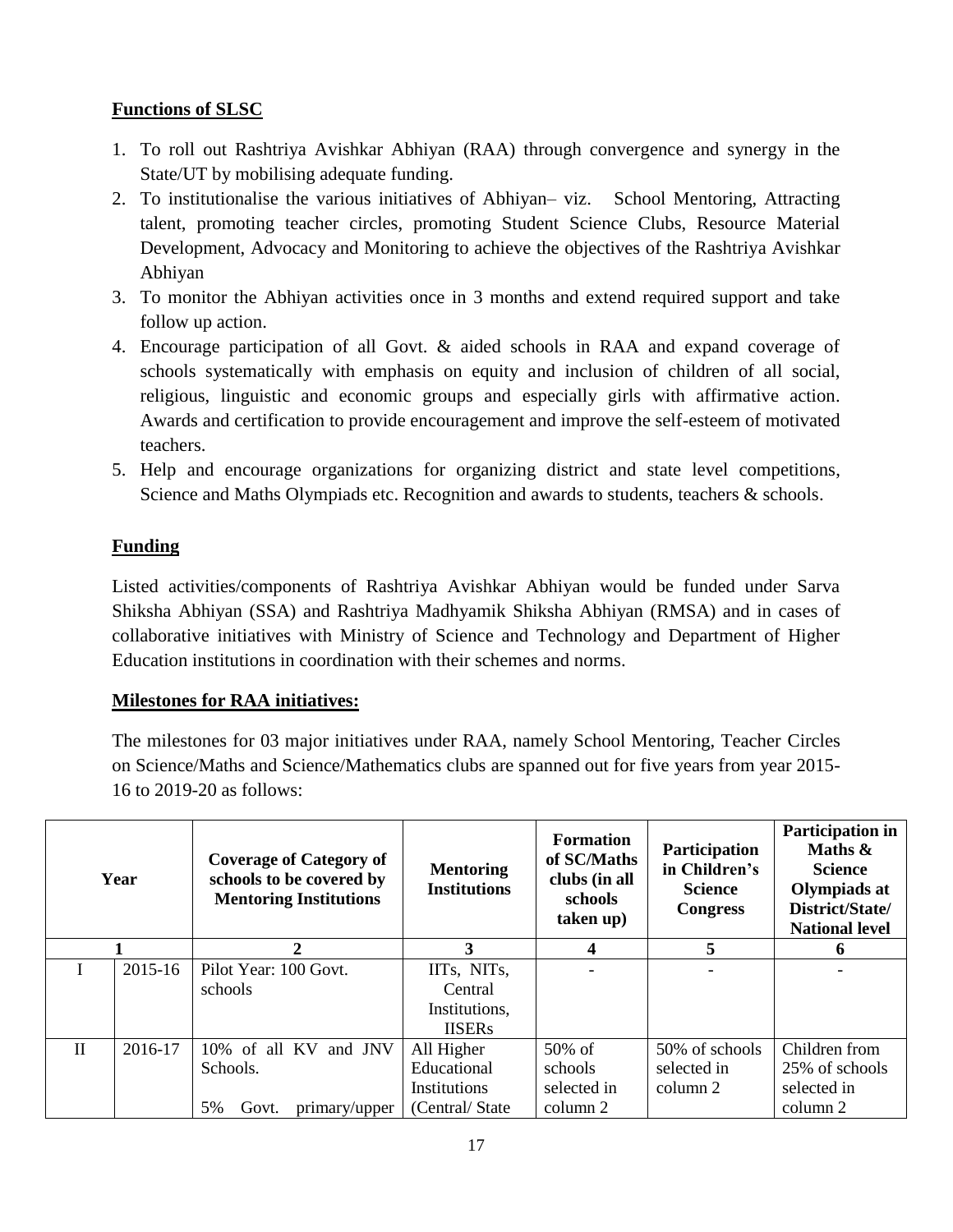# **Functions of SLSC**

- 1. To roll out Rashtriya Avishkar Abhiyan (RAA) through convergence and synergy in the State/UT by mobilising adequate funding.
- 2. To institutionalise the various initiatives of Abhiyan– viz. School Mentoring, Attracting talent, promoting teacher circles, promoting Student Science Clubs, Resource Material Development, Advocacy and Monitoring to achieve the objectives of the Rashtriya Avishkar Abhiyan
- 3. To monitor the Abhiyan activities once in 3 months and extend required support and take follow up action.
- 4. Encourage participation of all Govt. & aided schools in RAA and expand coverage of schools systematically with emphasis on equity and inclusion of children of all social, religious, linguistic and economic groups and especially girls with affirmative action. Awards and certification to provide encouragement and improve the self-esteem of motivated teachers.
- 5. Help and encourage organizations for organizing district and state level competitions, Science and Maths Olympiads etc. Recognition and awards to students, teachers & schools.

# **Funding**

Listed activities/components of Rashtriya Avishkar Abhiyan would be funded under Sarva Shiksha Abhiyan (SSA) and Rashtriya Madhyamik Shiksha Abhiyan (RMSA) and in cases of collaborative initiatives with Ministry of Science and Technology and Department of Higher Education institutions in coordination with their schemes and norms.

### **Milestones for RAA initiatives:**

The milestones for 03 major initiatives under RAA, namely School Mentoring, Teacher Circles on Science/Maths and Science/Mathematics clubs are spanned out for five years from year 2015- 16 to 2019-20 as follows:

| Year         |         | <b>Coverage of Category of</b><br>schools to be covered by<br><b>Mentoring Institutions</b> | <b>Mentoring</b><br><b>Institutions</b> | <b>Formation</b><br>of SC/Maths<br>clubs (in all<br>schools<br>taken up) | Participation<br>in Children's<br><b>Science</b><br><b>Congress</b> | <b>Participation in</b><br>Maths &<br><b>Science</b><br>Olympiads at<br>District/State/<br><b>National level</b> |
|--------------|---------|---------------------------------------------------------------------------------------------|-----------------------------------------|--------------------------------------------------------------------------|---------------------------------------------------------------------|------------------------------------------------------------------------------------------------------------------|
|              |         | 2                                                                                           | 3                                       | 4                                                                        | 5                                                                   | 6                                                                                                                |
|              | 2015-16 | Pilot Year: 100 Govt.                                                                       | IITs, NITs,                             |                                                                          |                                                                     |                                                                                                                  |
|              |         | schools                                                                                     | Central                                 |                                                                          |                                                                     |                                                                                                                  |
|              |         |                                                                                             | Institutions,                           |                                                                          |                                                                     |                                                                                                                  |
|              |         |                                                                                             | <b>IISERs</b>                           |                                                                          |                                                                     |                                                                                                                  |
| $\mathbf{I}$ | 2016-17 | 10% of all KV<br>and JNV                                                                    | All Higher                              | 50% of                                                                   | 50% of schools                                                      | Children from                                                                                                    |
|              |         | Schools.                                                                                    | Educational                             | schools                                                                  | selected in                                                         | 25% of schools                                                                                                   |
|              |         |                                                                                             | <b>Institutions</b>                     | selected in                                                              | column 2                                                            | selected in                                                                                                      |
|              |         | 5%<br>Govt.<br>primary/upper                                                                | (Central/State)                         | column 2                                                                 |                                                                     | column 2                                                                                                         |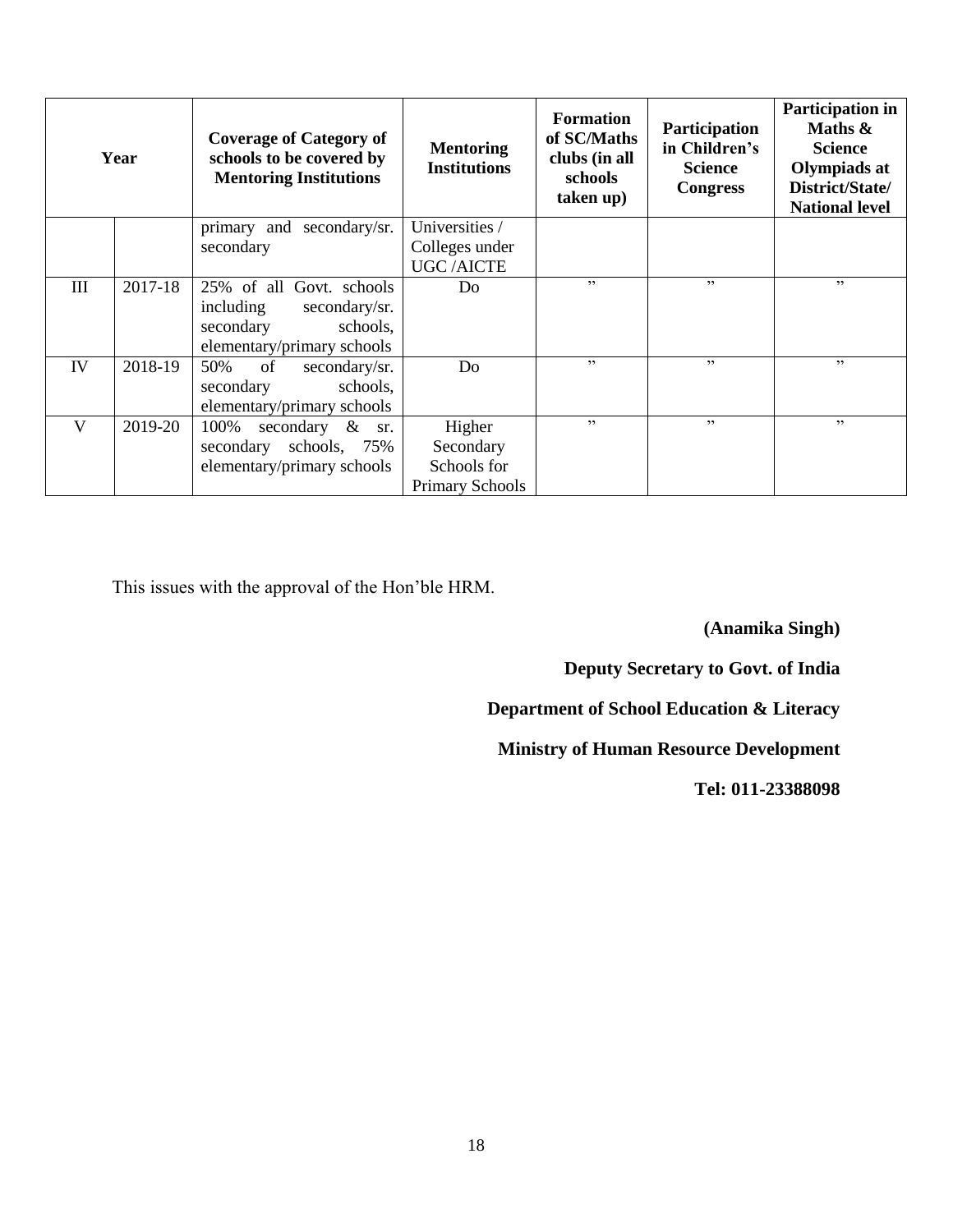| Year |         | <b>Coverage of Category of</b><br>schools to be covered by<br><b>Mentoring Institutions</b>                   | <b>Mentoring</b><br><b>Institutions</b>               | <b>Formation</b><br>of SC/Maths<br>clubs (in all<br>schools<br>taken up) | <b>Participation</b><br>in Children's<br><b>Science</b><br><b>Congress</b> | <b>Participation in</b><br>Maths $\&$<br><b>Science</b><br><b>Olympiads at</b><br>District/State/<br><b>National level</b> |
|------|---------|---------------------------------------------------------------------------------------------------------------|-------------------------------------------------------|--------------------------------------------------------------------------|----------------------------------------------------------------------------|----------------------------------------------------------------------------------------------------------------------------|
|      |         | secondary/sr.<br>primary and                                                                                  | Universities /                                        |                                                                          |                                                                            |                                                                                                                            |
|      |         | secondary                                                                                                     | Colleges under                                        |                                                                          |                                                                            |                                                                                                                            |
|      |         |                                                                                                               | <b>UGC/AICTE</b>                                      |                                                                          |                                                                            |                                                                                                                            |
| III  | 2017-18 | 25% of all Govt. schools<br>including<br>secondary/sr.<br>secondary<br>schools,<br>elementary/primary schools | Do                                                    | 22                                                                       | 22                                                                         | , 2                                                                                                                        |
| IV   | 2018-19 | of<br>50%<br>secondary/sr.<br>schools,<br>secondary<br>elementary/primary schools                             | Do                                                    | , 2, 3                                                                   | , 2, 3                                                                     | , 2                                                                                                                        |
| V    | 2019-20 | 100%<br>secondary $\&$<br>sr.<br>schools, 75%<br>secondary<br>elementary/primary schools                      | Higher<br>Secondary<br>Schools for<br>Primary Schools | , 2, 3                                                                   | , 2, 3                                                                     | , 2, 3                                                                                                                     |

This issues with the approval of the Hon'ble HRM.

**(Anamika Singh)**

**Deputy Secretary to Govt. of India**

**Department of School Education & Literacy**

**Ministry of Human Resource Development**

**Tel: 011-23388098**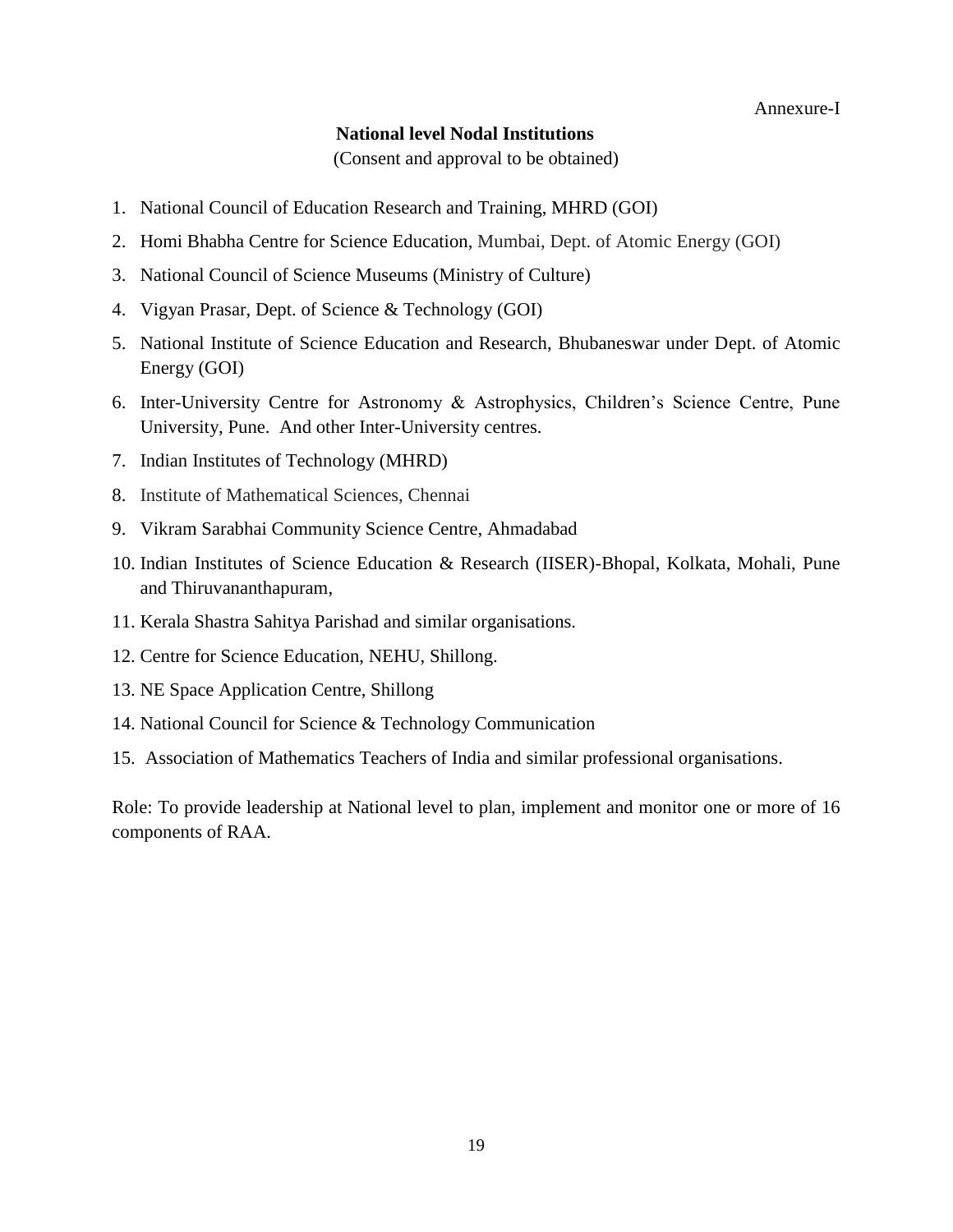#### **National level Nodal Institutions**

(Consent and approval to be obtained)

- 1. National Council of Education Research and Training, MHRD (GOI)
- 2. Homi Bhabha Centre for Science Education, Mumbai, Dept. of Atomic Energy (GOI)
- 3. National Council of Science Museums (Ministry of Culture)
- 4. Vigyan Prasar, Dept. of Science & Technology (GOI)
- 5. National Institute of Science Education and Research, Bhubaneswar under Dept. of Atomic Energy (GOI)
- 6. Inter-University Centre for Astronomy & Astrophysics, Children's Science Centre, Pune University, Pune. And other Inter-University centres.
- 7. Indian Institutes of Technology (MHRD)
- 8. Institute of Mathematical Sciences, Chennai
- 9. Vikram Sarabhai Community Science Centre, Ahmadabad
- 10. Indian Institutes of Science Education & Research (IISER)-Bhopal, Kolkata, Mohali, Pune and Thiruvananthapuram,
- 11. Kerala Shastra Sahitya Parishad and similar organisations.
- 12. Centre for Science Education, NEHU, Shillong.
- 13. NE Space Application Centre, Shillong
- 14. National Council for Science & Technology Communication
- 15. Association of Mathematics Teachers of India and similar professional organisations.

Role: To provide leadership at National level to plan, implement and monitor one or more of 16 components of RAA.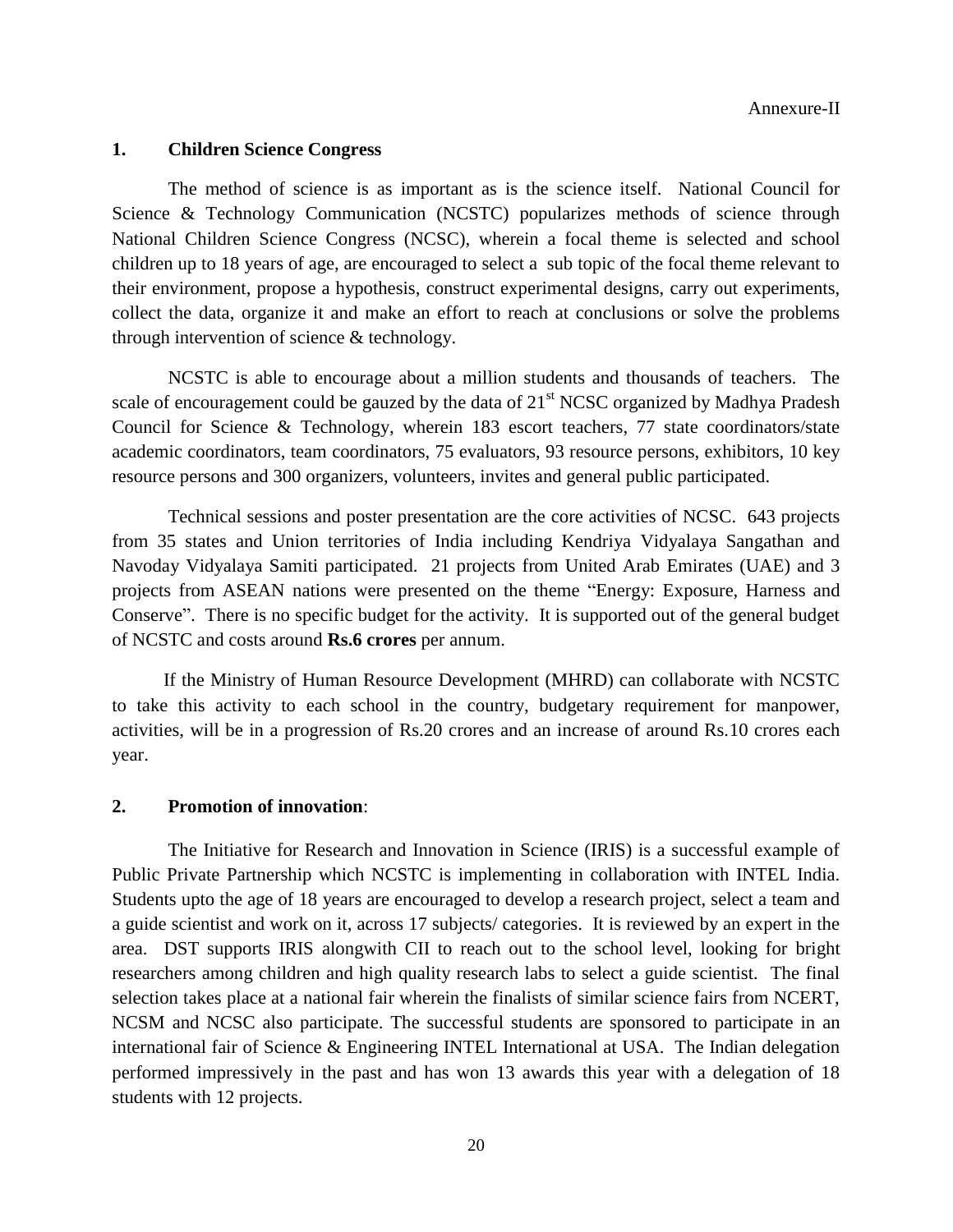### **1. Children Science Congress**

The method of science is as important as is the science itself. National Council for Science & Technology Communication (NCSTC) popularizes methods of science through National Children Science Congress (NCSC), wherein a focal theme is selected and school children up to 18 years of age, are encouraged to select a sub topic of the focal theme relevant to their environment, propose a hypothesis, construct experimental designs, carry out experiments, collect the data, organize it and make an effort to reach at conclusions or solve the problems through intervention of science & technology.

NCSTC is able to encourage about a million students and thousands of teachers. The scale of encouragement could be gauzed by the data of  $21<sup>st</sup> NCSC$  organized by Madhya Pradesh Council for Science & Technology, wherein 183 escort teachers, 77 state coordinators/state academic coordinators, team coordinators, 75 evaluators, 93 resource persons, exhibitors, 10 key resource persons and 300 organizers, volunteers, invites and general public participated.

Technical sessions and poster presentation are the core activities of NCSC. 643 projects from 35 states and Union territories of India including Kendriya Vidyalaya Sangathan and Navoday Vidyalaya Samiti participated. 21 projects from United Arab Emirates (UAE) and 3 projects from ASEAN nations were presented on the theme "Energy: Exposure, Harness and Conserve". There is no specific budget for the activity. It is supported out of the general budget of NCSTC and costs around **Rs.6 crores** per annum.

 If the Ministry of Human Resource Development (MHRD) can collaborate with NCSTC to take this activity to each school in the country, budgetary requirement for manpower, activities, will be in a progression of Rs.20 crores and an increase of around Rs.10 crores each year.

#### **2. Promotion of innovation**:

The Initiative for Research and Innovation in Science (IRIS) is a successful example of Public Private Partnership which NCSTC is implementing in collaboration with INTEL India. Students upto the age of 18 years are encouraged to develop a research project, select a team and a guide scientist and work on it, across 17 subjects/ categories. It is reviewed by an expert in the area. DST supports IRIS alongwith CII to reach out to the school level, looking for bright researchers among children and high quality research labs to select a guide scientist. The final selection takes place at a national fair wherein the finalists of similar science fairs from NCERT, NCSM and NCSC also participate. The successful students are sponsored to participate in an international fair of Science & Engineering INTEL International at USA. The Indian delegation performed impressively in the past and has won 13 awards this year with a delegation of 18 students with 12 projects.